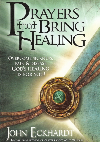# JRAYERS that BRING

**OVERCOME SICKNESS.** PAIN & DISEASE. **GOD'S HEALING IS FOR YOU!** 

WELD SIGNED Marian Cross order

> **JOHN ECKHARDT BEST-SELLING AUTHOR OF PRAYERS THAT ROUT DEMONS**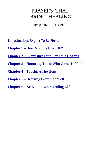# PRAYERS THAT BRING HEALING

### BY JOHN ECKHARDT

[Introduction: Expect To Be Healed](#page-2-0)

[Chapter 1 – How Much Is It Worth?](#page-18-0)

[Chapter 2 – Exercising Faith For Your Healing](#page-61-0)

[Chapter 3 – Honoring Those Who Come To Heal](#page-77-0)

[Chapter 4 – Touching The Hem](#page-89-0)

[Chapter 5 – Drawing From The Well](#page-100-0)

[Chapter 6 - Activating Your Healing Gift](#page-116-0)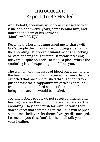# <span id="page-2-0"></span>Introduction Expect To Be Healed

And, behold, a woman, which was diseased with an issue of blood twelve years, came behind him, and touched the hem of his garment. -Matthew 9:20, KJV

Recently the Lord has impressed me to share with God's people the importance of putting a demand on the anointing. The word *demand* means "a seeking or state of being sought after." It means pressing forward despite obstacles to get to a place where the anointing is and expecting it to fall on you.

The woman with the issue of blood put a demand on the healing anointing and received her miracle. She expected that once she pushed through that crowd, pushed past the disappointment of years of failed treatments, and pushed against the stigma of being unclean, she would be healed.

Too often God's people do not receive miracles and healing because they do not place a demand on the anointing. They don't push forward because they don't expect that something miraculous will happen. Sometimes believers let themselves get discouraged. Let me tell you this: Don't let the devil talk you out of your healing.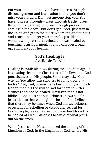Put your mind on God. You have to press through discouragement and frustration so that you don't miss your miracle. Don't let anyone stop you. You have to press through—press through traffic, press through the parking lot, press through people coming in the door—but don't get upset. Just stay in the Spirit and get to the place where the anointing is and reach up and get your miracle. Just like the woman who pressed, reached, and was healed by touching Jesus's garment, you too can press, reach up, and grab your healing.

#### God's Healing Is Available To All!

Healing is available to *all* during the kingdom age. It is amazing that some Christians still believe that God puts sickness on His people. Some may ask, "God, why do You allow this sickness to come upon my body?" They feel, or may have been told by a church leader, that it is the will of God for them to suffer sickness and not be healed. However, that is not biblical. God does not put sickness on *His* people. Jesus died so that we might be healed. I do believe that there may be times when God allows sickness, especially for rebellion or disobedience. But for God's people, we can expect to live in health and to be healed of all our diseases because of what Jesus did on the cross.

When Jesus came, He announced the coming of the kingdom of God. In the kingdom of God, where His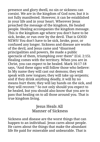presence and glory dwell, no sin or sickness can coexist. We are in the kingdom of God now, but it is not fully manifested. However, it can be established in your life and in your heart. Wherever Jesus preached the message of the kingdom, He healed people. Healing accompanies the kingdom message. This is the kingdom age where you don't have to be sick, broke, or run over by the devil. That is GOOD NEWS! You don't have to be sick, broke, poor, or confused any longer. Sickness and disease are works of the devil, and Jesus came and "disarmed principalities and powers, He made a public spectacle of them, triumphing over them" {Col. 2:15). Healing comes with the territory. When you are in Christ, you can expect to be healed. Mark 16:17-18 says, "And these signs will follow those who believe: In My name they will cast out demons; they will speak with new tongues; they will take up serpents; and if they drink anything deadly, it will by no means hurt them; they will lay hands on the sick, and they will recover." So not only should you expect to be healed, but you should also know that you are to pass that healing on to all those around you. That is true kingdom living.

#### Jesus Heals All Manner of Sickness

Sickness and disease are the worst things that can happen to an individual. Jesus cares about people. He cares about the things that make the abundant life He paid for miserable and unbearable. That is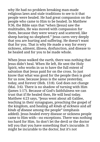why He had no problem breaking man-made religious laws and stale traditions to see to it that people were healed. He had great compassion on the people who came to Him to be healed. In Matthew 9:36, the Bible says that "when [Jesus] saw the multitudes, He was moved with compassion for them, because they were weary and scattered, like sheep having no shepherd." Jesus cares very deeply that you are hurting and suffering. He doesn't want that for you. That is why He made a way for every sickness, ailment, illness, dysfunction, and disease to be healed and for you to be made whole.

When Jesus walked the earth, there was nothing that Jesus didn't heal. When He left, He sent the Holy Spirit, who works in us to have the full extent of salvation that Jesus paid for on the cross. So just know that what was good for the people then is good for us now, because Jesus is the same yesterday, today, and forever (Heb. 13:8). God does not change (Mai. 3:6). There is no shadow of turning with Him (James 1:17). Because of God's faithfulness we can trust that if He healed then, He will heal today. Matthew 4:23 says, "Jesus went about all Galilee, teaching in their synagogues, preaching the gospel of the kingdom, and healing *all kinds of sickness* and *all kinds of disease* among the people" (emphasis added). Jesus healed every disease or sickness people came to Him with—no exceptions. There was nothing too hard for Him. So don't let the devil or the doctor tell you that you have something that's incurable. It might be incurable to the doctor, but it's not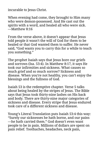incurable to Jesus Christ.

When evening had come, they brought to Him many who were demon-possessed. And He cast out the spirits with a word, and healed all who were sick. —Matthew 8:16

From the verse above, it doesn't appear that Jesus told people it wasn't the will of God for them to be healed or that God wanted them to suffer. He never said, "God wants you to carry this for a while to teach you something."

The prophet Isaiah says that Jesus bore our griefs and sorrows (Isa. 53:4). In Matthew 8:17, it says He took our infirmities and sickness. What causes so much grief and so much sorrow? Sickness and disease. When you're not healthy, you can't enjoy the blessings and the fullness of God.

Isaiah 53 is the redemptive chapter. Verse 5 talks about being healed by the stripes of Jesus. The Bible says that Jesus took thirty-nine lashes on His back and body. There are thirty-nine major categories of sickness and disease. Every stripe that Jesus endured took care of a different sickness and disease.

Young's Literal Translation puts Isaiah 53:4 this way: "Surely our sicknesses he hath borne, and our pains —he hath carried them." God doesn't even want people to be in pain. Millions of dollars are spent on pain relief. Toothaches, headaches, neck pain,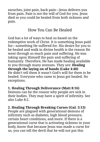earaches, joint pain, back pain—Jesus delivers you from pain. Pain is not the will of God for you. Jesus died so you could be healed from both sickness *and* pain.

# How You Can Be Healed

God has a lot of ways to heal us based on the redemptive work of Christ. It is something Jesus paid for—something He suffered for. His desire for you to be healed and walk in divine health is the reason He went through so much pain and suffering. He was taking upon Himself the pain and suffering of humanity. Therefore, He has made healing available to you through many avenues. They are: **Healing through the laying on of hands (Luke 4:40)** He didn't tell them it wasn't God's will for them to be healed. Everyone who came to Jesus got healed. No exceptions.

#### **1. Healing Through Deliverance (Matt 8:16)**

Demons can be the reason why people are sick in their bodies. They may have a spirit of infirmity. See also Luke 8:2.

#### **2. Healing Through Breaking Curses (Gal. 3:13)**

People are plagued with generational demons of infirmity such as diabetes, high blood pressure, certain heart conditions, and more. If there is a generational curse that is activating sickness in your body, know that because Jesus was made a curse for us, you can tell the devil that he will not put this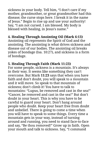sickness in your body. Tell him, "I don't care if my mother, grandmother, or great grandmother had this disease; the curse stops here. I break it in the name of Jesus." Begin to rise up and use your authority! Say, "I am not cursed. I am blessed. My body is blessed with healing, in Jesus's name."

#### **4. Healing Through Anointing Oil (Mark 6:13)**

Anointing oil represents the Spirit of God and the anointing. The anointing is what drives sickness and disease out of our bodies. The anointing oil breaks yokes of bondage (Isa. 10:27), and sickness is a form of bondage.

#### **5. Healing Through Faith (Mark 11:23)**

For some people, sickness is a mountain. It's always in their way. It seems like something they can't overcome. But Mark **11:23** says that when you have faith and don't doubt, you will speak to a mountain and it will move. So speak to that mountain of sickness; don't climb it! You have to talk to mountains: "Lupus, be removed and cast in the sea!" "Cancer, be removed and cast in the sea!" But don't doubt in your heart. This is why you have to be careful to guard your heart. Don't hang around people who doubt. Keep your heart free from doubt and unbelief. There is going to come a time when you will have to speak to some things. Every time a mountain gets in your way, instead of turning around and running, you need to stand face-to-face and say, "Be thou removed!" Grow up in faith. Open your mouth and talk to sickness. Say, "I command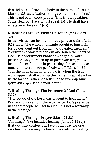this sickness to leave my body in the name of Jesus." Mark **11:23** says, "...those things which he saith" (**KIV**). This is not even about prayer. This is just speaking. Some stuff you have to just speak to! "He shall have **whatsoever he saith" (KJV).** 

#### **6. Healing Through Virtue Or Touch (Mark 5:29- 30)**

Jesus's virtue can be in you if you pray and fast. Luke **6:19** says, "The whole multitude sought to touch Him, for power went out from Him and healed them all." Worship is a way to reach out and touch the heart of God. True worshipers know how to get in God's presence. As you reach up in pure worship, you will be like the multitudes in Jesus's day, for "as many as touched it were made perfectly well" (Matt. **14:36).** "But the hour cometh, and now is, when the true worshippers shall worship the Father in spirit and in truth: for the Father seeketh such to worship him" (John **4:23, KJV). Is** this your hour?

#### **7. Healing Through The Presence Of God (Luke 5:17)**

"The power of the Lord was present to heal them." Praise and worship is there to invite God's presence in so that people will get healed. It is not a warm-up to the message.

#### **8. Healing Through Prayer (Matt. 21:22)**

"All things" **(KJV)** includes healing. James 5:16 says that we must confess our faults and pray for one another that we may be healed. Sometimes healing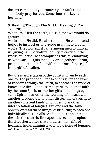doesn't come until you confess your faults and let somebody pray for you. Sometimes the key is humility.

#### **9. Healing Through The Gift Of Healing (1 Cor. 12:9, 28)**

When Jesus left the earth, He said that we would do greater

works than He did. He also said that He would send a helper to instruct us and guide us in these greater works. The Holy Spirit came among men to indwell us, giving us supernatural ability to carry out the works of Christ. He accomplishes this by endowing us with various gifts that all work together to bring people into relationship with God. One of these gifts is the gift of healing.

But the manifestation of the Spirit is given to each one for the profit of all: for to one is given the word of wisdom through the Spirit, to another the word of knowledge through the same Spirit, to another faith by the same Spirit, to another gifts of healings by the same Spirit, to another the working of miracles, to another prophecy, to another discerning of spirits, to another different kinds of tongues, to another interpretation of tongues. But one and the same Spirit works all these things, distributing to each one individually as He wills And God has appointed these in the church: first apostles, second prophets, third teachers, after that miracles, then gifts of healings, helps, administrations, varieties of tongues. —1 Corinthians 12:7-11, 28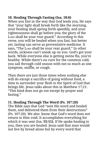#### **10. Healing Through Fasting (Isa. 58:8)**

When you fast in the way that God leads you, He says that "your light shall break forth like the morning, your healing shall spring forth speedily, and your righteousness shall go before you; the glory of the LORD shall be your rear guard." According to this verse, you will be healed when you fast, but better yet, lasting can serve as preventative medicine. It says, "The LORD shall be your rear guard." In other words, sickness can't sneak up on you. God's got your back. While everyone else is getting swine flu, you're healthy. While there's no cure for the common cold, you sail through cold season with not so much as one symptom, sniffle, or cough.

Then there are just those times when nothing else will do except a sacrifice of going without food, a time to surrender your flesh to the Spirit of God that brings life. Jesus talks about this in Matthew 17:21: "This kind does not go out except by prayer and fasting."

#### **11. Healing Through The Word (Ps. 107:20)**

The Bible says that God "sent His word and healed them, and delivered them from their destructions" (Ps. 107:20). We also know that God's word does not return to Him void. It accomplishes everything for which it was sent (Isa. **55:11).** If He spoke healing to you, then you are healed. Jesus said that man would not live by bread alone but by every word that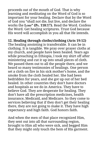proceeds out of the mouth of God. That is why learning and meditating on the Word of God is so important for your healing. Declare that by the Word of God you "shall not die, but live, and declare the works the **LORD" (PS. 118:17).** Read the Word. Confess the Word. Get healing scriptures. Trust God because His word will accomplish in you all that He intends.

#### **12. Healing through cloths/clothing (Acts 19:12)**

The healing anointing is transferable. It can be in clothing. It is tangible. We pray over prayer cloths at my church, and people have been healed. Years ago while preaching in Ethiopia, I took my shirt off after ministering and cut it up into small pieces of cloth. We passed them out to all the people there, and we heard so many testimonies of healings. One person set a cloth on fire in his sick mother's home, and the smoke from the cloth healed her. She had been bedridden for years, and she got up out of her bed healed. In other countries they don't have doctors and hospitals as we do in America. They have to believe God. They are desperate for healing. They don't have all the prescription medicines, health insurance, Medicaid, and Medicare. So they come to services believing that if they don't get their healing there, they are not going to make it. They have high expectancy and high faith. God honors faith.

And when the men of that place recognized Him, they sent out into all that surrounding region, brought to Him all who were sick, and begged Him that they might only touch the hem of His garment.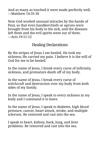And as many as touched it were made perfectly well. —Matthew 14:35-36

Now God worked unusual miracles by the hands of Paul, so that even handkerchiefs or aprons were brought from his body to the sick, and the diseases left them and the evil spirits went out of them. —Acts 19:11-12

## Healing Declarations

By the stripes of Jesus I am healed. He took my sickness; He carried my pain. I believe it is the will of God for me to be healed.

In the name of Jesus, I break every curse of infirmity, sickness, and premature death off of my body.

In the name of Jesus, I break every curse of witchcraft and destruction over my body from both sides of my family.

In the name of Jesus, I speak to every sickness in my body and I command it to leave.

In the name of Jesus, I speak to diabetes, high blood pressure, cancer, heart attack, stroke, and multiple sclerosis. Be removed and cast into the sea.

I speak to heart, kidney, back, lung, and liver problems. Be removed and cast into the sea.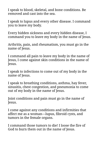I speak to blood, skeletal, and bone conditions. Be removed and cast into the sea.

I speak to lupus and every other disease. I command you to leave my body.

Every hidden sickness and every hidden disease, I command you to leave my body in the name of Jesus.

Arthritis, pain, and rheumatism, you must go in the name of Jesus.

I command all pain to leave my body in the name of Jesus, I come against skin conditions in the name of Jesus.

I speak to infections to come out of my body in the name of Jesus.

I speak to breathing conditions, asthma, hay fever, sinusitis, chest congestion, and pneumonia to come out of my body in the name of Jesus.

Joint conditions and pain must go in the name of Jesus.

I come against any conditions and infirmities that affect me as a woman—lupus, fibroid cysts, and tumors in the female organs.

I command those tumors to die! I loose the fire of God to burn them out in the name of Jesus.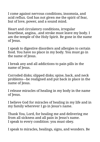I come against nervous conditions, insomnia, and acid reflux. God has not given me the spirit of fear, but of love, power, and a sound mind.

Heart and circulatory conditions, irregular heartbeat, angina, .and stroke must leave my body. I am the temple of the Holy Spirit. Be gone in the name of Jesus.

I speak to digestive disorders and allergies to certain food. You have no place in my body. You must go in the name of Jesus.

I break any and all addictions to pain pills in the name of Jesus.

Corroded disks; slipped disks; spine, back, and neck problems—be realigned and put back in place in the name of Jesus.

I release miracles of healing in my body in the name of Jesus.

I believe God for miracles of healing in my life and in my family wherever I go in Jesus's name.

Thank You, Lord, for healing me and delivering me from all sickness and all pain in Jesus's name. I speak to every condition: you must obey.

I speak to miracles, healings, signs, and wonders. Be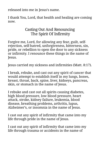released into me in Jesus's name.

I thank You, Lord, that health and healing are coming now.

## Casting Out And Renouncing The Spirit Of Infirmity

Forgive me, Lord, for allowing any fear, guilt, selfrejection, self-hatred, unforgiveness, bitterness, sin, pride, or rebellion to open the door to any sickness or infirmity. I renounce these things in the name of Jesus.

Jesus carried my sickness and infirmities (Matt. 8:17).

I break, rebuke, and cast out any spirit of cancer that would attempt to establish itself in my lungs, bones, breast, throat, back, spine, liver, kidneys, pancreas, skin, or stomach in the name of Jesus.

I rebuke and cast out all spirits causing diabetes, high blood pressure, low blood pressure, heart attack, stroke, kidney failure, leukemia, blood disease, breathing problems, arthritis, lupus, Alzheimer's, or insomnia in the name of Jesus.

I cast out any spirit of infirmity that came into my life through pride in the name of Jesus.

I cast out any spirit of infirmity that came into my life through trauma or accidents in the name of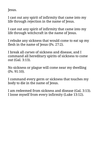Jesus.

I cast out any spirit of infirmity that came into my life through rejection in the name of Jesus.

I cast out any spirit of infirmity that came into my life through witchcraft in the name of Jesus.

I rebuke any sickness that would come to eat up my flesh in the name of Jesus (Ps. 27:2).

I break all *curses* of sickness and disease, and I command all hereditary spirits of sickness to come out (Gal. 3:13).

No sickness or plague will come near my dwelling (Ps. 91:10).

I command every germ or sickness that touches my body to die in the name of Jesus.

I am redeemed from sickness and disease (Gal. 3:13). I loose myself from every infirmity (Luke 13:12).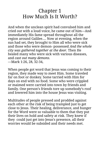# <span id="page-18-0"></span>Chapter 1 How Much Is It Worth?

And when the unclean spirit had convulsed him and cried out with a loud voice, he came out of him—And immediately His fame spread throughout all the region around Galilee.... Now at evening, when the sun had set, they brought to Him all who were sick and those who were demon- possessed *And the whole city was gathered together at the door.* Then He healed many who were sick with various diseases, and *cast out many demons.* —Mark 1:26, 28, 32-34,

When people got word that Jesus was coming to their region, they made way to meet Him. Some traveled far on foot or donkey. Some tarried with Him for days on end with no food. Some who were crippled or maimed were carried into town by friends and family. One person's friends tore up somebody's roof and lowered him into the house Jesus was visiting.

Multitudes of people pressed and prodded against each other at the risk of being trampled just to get close to Jesus. Their healing, deliverance, and hunger for the Word were so valuable to them that they put their lives on hold and safety at risk. They knew if they could just get into Jesus's presence, all their worries would be subsided and their needs met.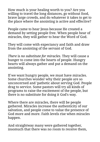How much is your healing worth to you? Are you willing to travel the long distances, go without food, brave large crowds, and do whatever it takes to get to the place where the anointing is active and effective?

People came to hear Jesus because He created a demand by setting people free. When people hear of miracles, they will gather to hear the Word of God.

They will come with expectancy and faith and draw from the anointing of the servant of God.

*There* is *no substitute for miracles.* They will cause a hunger to come into the hearts of people. Hungry hearts will always gather and put a demand on the anointing.

If we want hungry people, we must have miracles. Some churches wonder why their people are so unconcerned and 'pathetic about serving God. People drag to service. Some pastors will try all kinds of programs to raise the excitement of the people, but there is no substitute for doing it God's way.

Where there are miracles, there will be people gathered. Miracles increase the authenticity of our salvation, and people come to value the presence of God more and more. Faith levels rise when miracles happen.

And straightway many were gathered together, insomuch that there was no room to receive them,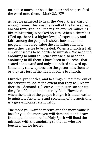no, not so much as about the door: and he preached the word unto them. -Mark 2:2, KJV

As people gathered to hear the Word, there was not enough room. This was the result of His fame spread abroad throughout all the region around Galilee." I like ministering in packed houses. When a church is filled up, there is a higher level of expectancy and faith among the people. It shows how much the people in that area value the anointing and how much they desire to be healed. When a church is half empty, it seems to be harder to minister. We need the anointing to build churches but we also need the anointing to fill them. I have been to churches that seated a thousand and only a hundred showed up. Some only show up because the pastor tells them to, or they are just in the habit of going to church.

Miracles, prophecies, and healing will not flow out of the servant of God to the extent that they will where there is a demand. Of course, a minister can stir up the gifts of God and minister by faith. However, when the faith of the people is high, it is much easier to minister. The giving and receiving of the anointing is a give-and-take relationship.

The more you want to receive and the more value it has for you, the more you will demand it and draw from it, and the more the Holy Spirit will flood the minister with the anointing so that all who are touched will be healed.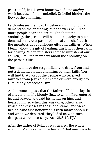Jesus could, in His own hometown, do no *mighty* work because of their unbelief. Unbelief hinders the flow of the anointing.

Faith releases the flow. Unbelievers will not put a demand on the anointing, but believers will. The more people hear and are taught about the anointing, the greater will be their capacity to put a demand on it. As a pastor of a local church, I teach the members about different gifts and callings. When I teach about the gift of healing, this builds their faith for healing. When ministers come to minister at our church, I tell the members about the anointing on the person's life.

They then have the responsibility to draw from and put a demand on that anointing by their faith. You will find that most of the people who received miracles from Jesus either came or were brought to Him. Many beseeched Him.

And it came to pass, that the father of Publius lay sick of a fever and of a bloody flux: to whom Paul entered in, and prayed, and laid his hands on him, and healed him. So when this was done, others also, which had diseases in the island, came, and were healed: who also honoured us with many honours; and when we departed, they laded us with such things as were necessary. -Acts 28:8-10, KJV

After the father of Publius was healed, the whole island of Melita came to be healed. 'That one miracle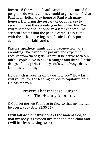increased the value of Paul's anointing. It caused the people to do whatever they could to get some of what Paul had. Notice, they honored Paul with many honors. Honoring the servant of God is a key to receiving from the anointing in his or her life. We will talk more about honor in a later chapter. The scripture states that the people came. They came with the sick, expecting to be healed. 'They put action on their faith and came.

Passive, apathetic saints do not receive from the anointing. We cannot be passive and expect to receive from these gifts. We must be active with our faith. People have to have a hunger and thirst for the things of the Spirit. Hungry souls will always draw from the anointing.

How much is your healing worth to you? How far will you follow the leading of God to capitalize on all He has for you?

## Prayers That Increase Hunger For The Healing Anointing

O God, let me see You face-to-face so that my life will be preserved (Gen. 32:30-31).

I will follow the instructions of the man of God, so that my body is restored like that of a little child and I will be clean (2 Kings 5:14).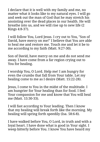I declare that it is well with my family and me, no matter what it looks like to my natural eyes. I will go and seek out the man of God that he may stretch his anointing over the dead places in our health. He will breathe into us, and we will rise up to new life (2 Kings 4:8-37).

I will follow You, Lord Jesus. I cry out to You, "Son of David, have mercy on me!" I believe that You are able to heal me and restore me. Touch me and let it be to me according to my faith (Matt. 9:27-30).

Son of David, have mercy on me and do not send me away. I have come from a far region crying out to You for healing.

I worship You, O Lord. Help me! I am hungry for even the crumbs that fall from Your table. Let my healing come to me as I desire (Matt. 15:22-28).

Jesus, I come to You in the midst of the multitude. I am hungrier for Your healing than for food. I feel Your compassion for me and know that You will heal me (Matt. 15:30-33).

I will fast according to Your leading. Then I know that my healing will break forth like the morning. My healing will spring forth speedily (Isa. 58:6-8).

I have walked before You, O Lord, in truth and with a loyal heart. I have done what is good in Your sight. I weep bitterly before You. I know You have heard my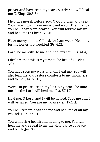prayer and have seen my tears. Surely You will heal me (2 Kings 20:3-5).

I humble myself before You, O God. I pray and seek Your face. I turn from my wicked ways. Then I know You will hear from heaven. You will forgive my sin and heal me (2 Chron. 7:14).

Have mercy on me, O Lord, for I am weak. Heal me, for my bones are troubled (Ps. 6:2).

Lord, be merciful to me and heal my soul (Ps. 41:4).

I declare that this is my time to be healed (Eccles. 3:3).

You have seen my ways and will heal me. You will also lead me and restore comforts to my mourners and to me (Isa. 57:18).

Words of praise are on my lips. May peace be unto me, for the Lord will heal me (Isa. 57:19).

Heal me, O Lord, and I will be healed. Save me and I will be saved. You are my praise (Jer. 17:14).

You will restore health to me and heal me of all my wounds (Jer. 30:17).

You will bring health and healing to me. You will heal me and reveal to me the abundance of peace and truth (Jer. 33:6).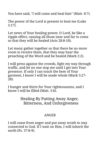You have said, "I will come and heal him" (Matt. 8:7).

The power of the Lord is present to heal me (Luke 5:17).

Let news of Your healing power, O Lord, be like a ripple effect, causing all those near and far to come so that they will be healed (Acts 28:8-10).

Let many gather together so that there be no more room to receive them, that they may hear the preaching of the Word and be healed (Mark 2:2).

I will press against the crowds, fight my way through traffic, and let no one stop me until I get into Your presence. If only I can touch the hem of Your garment, I know I will be made whole (Mark 5:27- 28).

I hunger and thirst for Your righteousness, and I know I will be filled (Matt. 5:6).

> Healing By Putting Away Anger, Bitterness, And Unforgiveness

#### ANGER

I will cease from anger and put away wrath to stay connected to God. If I wait on Him, I will inherit the earth (Ps. 37:8-9).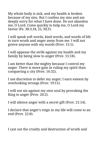My whole body is sick, and my health is broken because of my sins. But I confess my sins and am deeply sorry for what I have done. Do not abandon me, O Lord. Come quickly to help me, O Lord my Savior (Ps. 38:3,18, 22, NLT).

I will speak soft words, kind words, and words of life to turn wrath and anger away from me. I will not grieve anyone with my words (Prov. 15:1).

I will appease the strife against my health and my family by being slow to anger (Prov. 15:18).

I am better than the mighty because I control my anger. There is more gain in ruling my spirit than conquering a city (Prov. 16:32).

I use discretion to defer my anger; I earn esteem by overlooking wrongs (Prov. 19:11).

I will not sin against my own soul by provoking the King to anger (Prov. 20:2).

I will silence anger with a secret gift (Prov. 21:14).

I declare that anger's reign in my life will come to an end (Prov. 22:8).

I cast out the cruelty and destruction of wrath and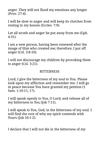anger. They will not flood my emotions any longer (Prov. 27:4).

I will be slow to anger and will keep its clutches from resting in my bosom (Eccles. 7:9).

Let all wrath and anger be put away from me (Eph. 4:31).

I am a new person, having been renewed after the image of Him who created me; therefore, I put off anger (Col. 3:8-10).

I will not discourage my children by provoking them to anger (Col. 3:21).

#### **BITTERNESS**

Lord, I give the bitterness of my soul to You. Please look upon my affliction and remember me. I will go in peace because You have granted my petition (1 Sam. 1:10-11, 17).

I will speak openly to You, O Lord, and release all of my bitterness to You (Job 7:11).

I will speak to You, God, in the bitterness of my soul. I will find the root of why my spirit contends with Yours (Job 10:1-2).

I declare that I will not die in the bitterness of my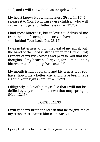soul, and I will eat with pleasure (Job 21:25).

My heart knows its own bitterness (Prov. 14:10); I release it to You. I will raise wise children who will cause me no grief or bitterness (Prov. 17:25).

I had great bitterness, but in love You delivered me from the pit of corruption. For You have put all my sins behind Your back (Isa. 38:17).

I was in bitterness and in the heat of my spirit, but the hand of the Lord is strong upon me (Ezek. 3:14). I repent of my wickedness and pray to God that the thoughts of my heart be forgiven, for I am bound by bitterness and iniquity (Acts 8:21-23).

My mouth is full of cursing and bitterness, but You have shown me a better way and I have been made right in Your sight (Rom. 3:14, 21-22).

I diligently look within myself so that I will not be defiled by any root of bitterness that may spring up (Heb. 12:15).

#### FORGIVENESS

I will go to my brother and ask that he forgive me of my trespasses against him (Gen. 50:17).

I pray that my brother will forgive me so that when I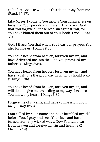go before God, He will take this death away from me (Exod. 10:17).

Like Moses, I come to You asking Your forgiveness on behalf of Your people and myself. Thank You, God, that You forgive all those who sin against You, for You have blotted them out of Your book (Exod. 32:32- 33).

God, I thank You that when You hear our prayers You also forgive us (1 Kings 8:30).

You have heard from heaven, forgiven my sin, and have delivered me into the land You promised my fathers (1 Kings 8:34).

You have heard from heaven, forgiven my sin, and have taught me the good way in which I should walk (1 Kings 8:36).

You have heard from heaven, forgiven my sin, and will do and give me according to my ways because You know my heart (1 Kings 8:39).

Forgive me of my sins, and have compassion upon me (1 Kings 8:50).

I am called by Your name and have humbled myself before You. I pray and seek Your face and have turned from my wicked ways. Now You will hear from heaven and forgive my sin and heal me (2 Chron. 7:14).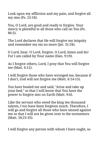Look upon my affliction and my pain, and forgive all my sins (Ps. 25:18).

You, O Lord, are good and ready to forgive. Your mercy is plentiful to all those who call on You (Ps. 86:5).

The Lord declares that He will forgive my iniquity and remember my sin no more (Jer. 31:34).

O Lord, hear. O Lord, forgive. O Lord, listen and do! For I am called by Your name (Dan. 9:19).

As I forgive others, Lord, I pray that You will forgive me (Matt. 6:12).

I will forgive those who have wronged me, because if I don't, God will not forgive me (Matt. 6:14-15).

You have healed me and said, "Arise and take up your bed," so that I will know that You have the power to forgive sins on Earth (Matt. 9:6).

Like the servant who owed the king ten thousand talents, I too have been forgiven much. Therefore, I will go and forgive all those who have sinned against me so that I will not be given over to the tormentors (Matt. 18:23-35).

I will forgive any person with whom I have ought, so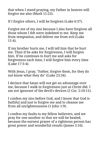that when I stand praying, my Father in heaven will forgive me also (Mark 11:25).

If I forgive others, I will be forgiven (Luke 6:37).

Forgive me of my sins because I also have forgiven all those whom I felt were indebted to me. Keep me from temptation, and deliver me from evil (Luke 11:4).

If my brother hurts me, I will tell him that he hurt me. Then if he asks for forgiveness, I will forgive him. If he continues to hurt me and asks for forgiveness each time, I will forgive him every time (Luke 17:3-4).

With Jesus, I pray, "Father, forgive them, for they do not know what they do" (Luke 23:34).

I declare that Satan will not get an advantage over me, because I walk in forgiveness just as Christ did. I am not ignorant of the devil's devices (2 Cor. 2:10-11).

I confess my sins before God, and I know that God is faithful and just to forgive me and to cleanse me from all unrighteousness (1 John 1:9).

I confess my faults to my fellow believers, and we pray for one another so that we will be healed, because the earnest prayer of a righteous person has great power and wonderful results (James 5:16).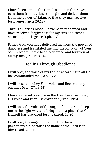I have been sent to the Gentiles to open their eyes, turn them from darkness to light, and deliver them from the power of Satan, so that they may receive forgiveness (Acts 26:18).

Through Christ's blood, I have been redeemed and have received forgiveness for my sins and riches according to His grace (Eph. 1:7).

Father God, you have delivered me from the power of darkness and translated me into the kingdom of Your Son in whom I have been redeemed and forgiven of all my sins (Col. 1:13-14).

# Healing Through Obedience

I will obey the voice of my Father according to all He has commanded me (Gen. 27:8).

I will arise and obey Your voice and flee from my enemies (Gen. 27:43-44).

I have a special treasure in the Lord because I obey His voice and keep His covenant (Exod. 19:5).

I will obey the voice of the angel of the Lord to keep me in the right way and bring me to a place that God Himself has prepared for me (Exod. 23:20).

I will obey the angel of the Lord, for he will not pardon my sin because the name of the Lord is in him (Exod. 23:21).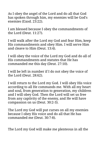As I obey the angel of the Lord and do all that God has spoken through him, my enemies will be God's enemies (Exod. 23:22).

I am blessed because I obey the commandments of the Lord (Deut. 11:27).

I will walk after the Lord my God and fear Him, keep His commandments and obey Him. I will serve Him and cleave to Him (Deut. 13:4).

I will obey the voice of the Lord my God and do all of His commandments and statutes that He has commanded me this day (Deut. 27:10).

I will be left in number if I do not obey the voice of the Lord (Deut. 28:62).

I will return to the Lord my God. I will obey His voice according to all He commands me. With all my heart and soul, from generation to generation, my children and I will obey God. Then the Lord will set us free from any captivity of the enemy, and He will have compassion on us (Deut. 30:2-3).

The Lord my God will put curses on all my enemies because I obey His voice and do all that He has commanded me (Deut. 30:7-8).

The Lord my God will make me plenteous in all the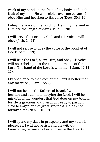work of my hand, in the fruit of my body, and in the fruit of my land. He will rejoice over me because I obey Him and hearken to His voice (Deut. 30:9-10).

I obey the voice of the Lord, for He is my life, and in Him are the length of days (Deut. 30:20).

I will serve the Lord my God, and His voice I will obey (Josh. 24:24).

I will not refuse to obey the voice of the prophet of God (1 Sam. 8:19).

I will fear the Lord, serve Him, and obey His voice. I will not rebel against the commandments of the Lord. The hand of the Lord is with me (1 Sam. 12:14- 15).

My obedience to the voice of the Lord is better than any sacrifice (1 Sam. 15:22).

I will not be like the fathers of Israel. I will be humble and submit to obeying the Lord. I will be mindful of the wonders that God does on my behalf, for He is gracious and merciful, ready to pardon, slow to anger, and of great kindness. He has not forsaken me (Neh. 9:16-17).

I will spend my days in prosperity and my years in pleasures. I will not perish and die without knowledge, because I obey and serve the Lord (Job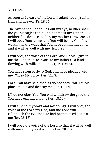36:11-12).

As soon as I heard of the Lord, I submitted myself to Him and obeyed (Ps. 18:44).

The ravens shall not pluck out my eye, neither shall the young eagles eat it. I do not mock my Father, neither do I despise to obey my mother (Prov. 30:17). I will obey Your voice, and You will be my God. I will walk in all the ways that You have commanded me, and it will be well with me (Jer. 7:23).

I will obey the voice of the Lord, and He will give to me the land that He swore to my fathers—a land flowing with milk and honey (Jer. 11:4-5).

You have risen early, O God, and have pleaded with me, "Obey My voice" (Jer. 11:7).

Lord, You have said that if I do not obey You, You will pluck me up and destroy me (Jer. 12:17).

If I do not obey You, You will withdraw the good that You have extended to me (Jer. 18:10).

I will amend my ways and my doings. I will obey the voice of the Lord my God, and the Lord will relinquish the evil that He had pronounced against me (Jer. 26:13).

I will obey the voice of the Lord so that it will be well with me and my soul will live (Jer. 38:20).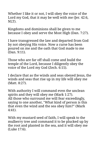Whether I like it or not, I will obey the voice of the Lord my God, that it may be well with me (Jer. 42:6,  $NI.T$ ).

Kingdoms and dominions shall be given to me because I obey and serve the Most High (Dan. 7:27).

I have transgressed the law and departed from God by not obeying His voice. Now a curse has been poured on me and the oath that God made to me (Dan. 9:11).

Those who are far off shall come and build the temple of the Lord, because I diligently obey the voice of the Lord my God (Zech. 6:15).

I declare that as the winds and seas obeyed Jesus, the winds and seas that rise up in my life will obey me (Matt. 8:27).

With authority I will command even the unclean spirits and they will obey me (Mark 1:27). All those who surround me will fear exceedingly, saying to one another, "What kind of person is this that even the wind and the sea obey him?" (Mark 4:41).

With my mustard seed of faith, I will speak to the mulberry tree and command it to be plucked up by the root and planted in the sea, and it will obey me (Luke 17:6).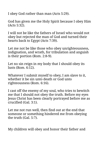I obey God rather than man (Acts 5:29).

God has given me the Holy Spirit because I obey Him (Acts 5:32).

I will not be like the fathers of Israel who would not obey but rejected the man of God and turned their hearts back to Egypt (Acts 7:39).

Let me not be like those who obey unrighteousness, indignation, and wrath, for tribulation and anguish is their portion (Rom. 2:8-9).

Let no sin reign in my body that I should obey its lusts (Rom. 6:12).

Whatever I submit myself to obey, I am slave to it, whether it be sin unto death or God unto righteousness (Rom. 6:16).

I cast off the enemy of my soul, who tries to bewitch me that I should not obey the truth. Before my eyes Jesus Christ has been clearly portrayed before me as crucified (Gal. 3:1).

Let me not run well, then find out at the end that someone or something hindered me from obeying the truth (Gal. 5:7).

My children will obey and honor their father and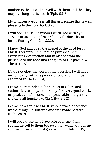mother so that it will be well with them and that they may live long on the earth (Eph. 6:1-3).

My children obey me in all things because this is well pleasing to the Lord (Col. 3:20).

I will obey those for whom I work, not with eye service or as a man pleaser, but with sincerity of heart, fearing God (Col. 3:22).

I know God and obey the gospel of the Lord Jesus Christ; therefore, I will not be punished with everlasting destruction and banished from the presence of the Lord and the glory of His power (2 Thess. 1:7-9).

If I do not obey the word of the apostles, I will have no company with the people of God and I will be ashamed (2 Thess. 3:14).

Let me be reminded to be subject to rulers and authorities, to obey, to be ready for every good work, to speak evil of no one, to be peaceable and gentle, showing all humility to £ta (Titus 3:1-2).

Let me be a son like Christ, who learned obedience by the things He suffered and was made perfect (Heb. 5:8-9).

I will obey those who have rule over me. I will submit myself to them because they watch out for my soul, as those who must give account (Heb. 13:17).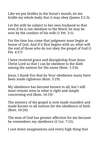Like we put bridles in the horse's mouth, let me bridle my whole body that it may obey (James 3:2-3).

Let the wife be subject to her own husband so that even if he is not obedient to the Word, he may be won by the conduct of his wife (1 Pet. 3:1).

For the time has come that judgment must begin at house of God. And if it first begins with us, what will the end of those who do not obey the gospel of God (1 Pet. 4:17)

I have received grace and discipleship from Jesus Christ Lord so that I can be obedient to the faith among the nations for His name (Rom. 1:3-6).

Jesus, I thank You that by Your obedience many have been made righteous (Rom. 5:19).

My obedience has become known to all, but I still must remain wise in what is right and simple concerning evil (Rom. 16:19)

The mystery of the gospel is now made manifest and made known to all nations for the obedience of faith (Rom. 16:26).

The man of God has greater affection for me because he remembers my obedience (2 Cor. 7:15).

I cast down imaginations and every high thing that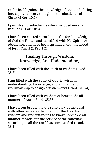exalts itself against the knowledge of God, and I bring into captivity every thought to the obedience of Christ (2 Cor. 10:5).

I punish all disobedience when my obedience is fulfilled (2 Cor. 10:6).

I have been elected according to the foreknowledge of God the Father and sanctified with His Spirit for obedience, and have been sprinkled with the blood of Jesus Christ (1 Pet. 1:2).

### Healing Through Wisdom, Knowledge, And Understanding,

I have been filled with the spirit of wisdom (Exod. 28:3).

I am filled with the Spirit of God, in wisdom, understanding, knowledge, and all manner of workmanship to design artistic works (Exod. 31:3-4).

I have been filled with wisdom of heart to do all manner of work (Exod. 35:35).

I have been brought to the sanctuary of the Lord with other wise-hearted men, for the Lord has put wisdom and understanding to know how to do all manner of work for the service of the sanctuary according to all the Lord has commanded (Exod. 36:1).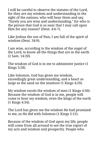I will be careful to observe the statutes of the Lord, for they are my wisdom and understanding in the sight of the nations, who will hear them and say, "Surely you are wise and understanding," for who is the person that God is so near that I may call upon Him for any reason? (Deut. 4:6-7).

Like Joshua the son of Nun, I am full of the spirit of wisdom (Deut. 34:9).

I am wise, according to the wisdom of the angel of the Lord, to know all the things that are in the earth (2 Sam. 14:20).

The wisdom of God is in me to administer justice (1 Kings 3:28).

Like Solomon, God has given me wisdom, exceedingly great understanding, and a heart as large as the sand on the seashore (1 Kings 4:29).

My wisdom excels the wisdom of men (1 Kings 4:30). Because the wisdom of God is in me, people will come to hear my wisdom, even the kings of the earth (1 Kings 4:34).

The Lord has given me the wisdom He had promised to me, as He did with Solomon (1 Kings 5:12).

Because of the wisdom of God upon my life, people will come from all around to see the true report of my acts and wisdom and prosperity. People who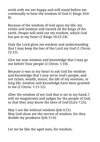work with me are happy and will stand before me continually to hear the wisdom of God (1 Kings 10:6- 8).

Because of the wisdom of God upon my life, my riches and wisdom will exceed all the kings of the earth. People will seek out my wisdom, which God has put in my heart (1 Kings 10:23-24).

Only the Lord gives me wisdom and understanding that I may keep the law of the Lord my God (1 Chron. 22:12).

Give me now wisdom and knowledge that I may go out before Your people (2 Chron. 1:10).

Because it was in my heart to ask God for wisdom and knowledge that I may serve God's people, and not riches, wealth, honor, the life of my enemies, or long life, wisdom and knowledge have been granted to me (2 Chron. 1:11-12).

After the wisdom of my God that is set in my hand, I will set magistrates and judges for the people of God, so that they may know the laws of God (Ezra 7:25).

May I not die without wisdom (Job 4:21). May God show me the secrets of wisdom, for they double my prudence (Job 11:6).

Let me be like the aged men, for wisdom,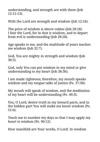understanding, and strength are with them (Job 12:12-13).

With the Lord are strength and wisdom (Job 12:16).

The price of wisdom is above rubies (Job 28:18). I fear the Lord, for in that is wisdom, and to depart from evil is understanding (Job 28:28).

Age speaks to me, and the multitude of years teaches me wisdom (Job 32:7).

God, You are mighty in strength and wisdom (Job 36:5).

God, only You can put wisdom in my mind or give understanding to my heart (Job 38:36).

I am made righteous; therefore, my mouth speaks wisdom and my tongue talks of justice (Ps. 37:30).

My mouth will speak of wisdom, and the meditation of my heart will be understanding (Ps. 49:3).

You, O Lord, desire truth in my inward parts, and in the hidden part You will make me know wisdom (Ps. 51:6).

Teach me to number my days so that I may apply my heart to wisdom (Ps. 90:12).

How manifold are Your works, O Lord. In wisdom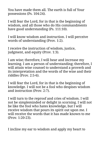You have made them all. The earth is full of Your possessions (Ps. 104:24).

I will fear the Lord, for in that is the beginning of wisdom, and all those who do His commandments have good understanding (Ps. 111:10).

I will know wisdom and instruction. I will perceive words of understanding (Prov. 1:2).

I receive the instruction of wisdom, justice, judgment, and equity (Prov. 1:3).

I am wise; therefore, I will hear and increase my learning. I am a person of understanding; therefore, I will attain wise counsel to understand a proverb and its interpretation and the words of the wise and their riddles (Prov. 2:5-6).

I will fear the Lord, for in that is the beginning of knowledge. I will not be a fool who despises wisdom and instruction (Prov. 2:7).

I will turn to the reproof and cries of wisdom. I will not be simpleminded or delight in scorning. I will not be like the fool who hates knowledge, but I will receive wisdom that pours its spirit out upon me. I will receive the words that it has made known to me (Prov. 1:20-23).

I incline my ear to wisdom and apply my heart to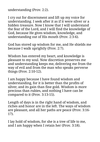understanding (Prov. 2:2).

I cry out for discernment and lift up my voice for understanding. I seek after it as if it were silver or a hidden treasure. Now I know that I will understand the fear of the Lord, and I will find the knowledge of God, because He gives wisdom, knowledge, and understanding out of His mouth (Prov. 2:3-6).

God has stored up wisdom for me, and He shields me because I walk uprightly (Prov. 2:7).

Wisdom has entered my heart, and knowledge is pleasant to my soul. Now discretion preserves me and understanding keeps me, delivering me from the way of evil and from the man who speaks perverse things (Prov. 2:10-12).

I am happy because I have found wisdom and understanding, for it is better than the profits of silver, and its gain than fine gold. Wisdom is more precious than rubies, and nothing I have can be compared to it (Prov. 3:13-15).

Length of days is in the right hand of wisdom, and riches and honor are in the left. The ways of wisdom are pleasant, and all her paths are peace (Prov. 3:16- 17).

I lay hold of wisdom, for she is a tree of life to me, and I am happy when I retain her (Prov. 3:18).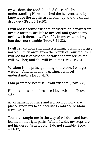By wisdom, the Lord founded the earth, by understanding He established the heavens, and by knowledge the depths are broken up and the clouds drop dew (Prov. 3:19-20).

I will not let sound wisdom or discretion depart from my eye for they are life to my soul and grace to my neck. With them, I walk safely in my way, and my foot does not stumble (Prov. 3:21-23).

I will get wisdom and understanding. I will not forget nor will I turn away from the words of Your mouth. I will not forsake wisdom because she preserves me. I will love her, and she will keep me (Prov. 4:5-6).

Wisdom is the principal thing; therefore, I will get wisdom. And with all my getting, I will get understanding (Prov. 4:7).

I am promoted because I exalt wisdom (Prov. 4:8).

Honor comes to me because I love wisdom (Prov. 4:8).

An ornament of grace and a crown of glory are placed upon my head because I embrace wisdom (Prov. 4:9).

You have taught me in the way of wisdom and have led me in the right paths. When I walk, my steps are not hindered. When I run, I do not stumble (Prov. 4:11-12).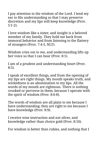I pay attention to the wisdom of the Lord. I lend my ear to His understanding so that I may preserve discretion and my lips will keep knowledge (Prov. 5:1-2).

I love wisdom like a sister, and insight is a beloved member of my family. They hold me back from immoral behavior and from listening to the flattery of strangers (Prov. 7:4-5, NLT).

Wisdom cries out to me, and understanding lifts up her voice so that I can hear (Prov. 8:1).

I am of a prudent and understanding heart (Prov. 8:5).

I speak of excellent things, and from the opening of my lips are right things. My mouth speaks truth, and wickedness is an abomination to my lips. All the words of my mouth are righteous. There is nothing crooked or perverse in them, because I operate with the spirit of wisdom (Prov. 8:6-8).

The words of wisdom are all plain to me because I have understanding; they are right to me because I have knowledge (Prov. 8:9).

I receive wise instruction and not silver, and knowledge rather than choice gold (Prov. 8:10).

For wisdom is better than rubies, and nothing that I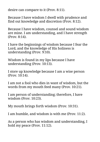desire can compare to it (Prov. 8:11).

Because I have wisdom I dwell with prudence and find out knowledge and discretion (Prov. 8:12).

Because I have wisdom, counsel and sound wisdom are mine. I am understanding, and I have strength (Prov. 8:14).

I have the beginnings of wisdom because I fear the Lord, and the knowledge of His holiness is understanding (Prov. 9:10).

Wisdom is found in my lips because I have understanding (Prov. 10:13).

I store up knowledge because I am a wise person (Prov. 10:14).

I am not a fool who dies in want of wisdom, but the words from my mouth feed many (Prov. 10:21).

I am person of understanding; therefore, I have wisdom (Prov. 10:23).

My mouth brings forth wisdom (Prov. 10:31).

I am humble, and wisdom is with me (Prov. 11:2).

As a person who has wisdom and understanding, I hold my peace (Prov. 11:12).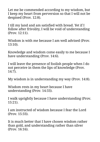Let me be commended according to my wisdom, but I keep my heart from perversion so that I will not be despised (Prov. 12:8).

I till my land and am satisfied with bread. Yet if I follow after frivolity, I will be void of understanding (Prov. 12:11).

Wisdom is with me because I am well advised (Prov. 13:10).

Knowledge and wisdom come easily to me because I have understanding (Prov. 14:6).

I will leave the presence of foolish people when I do not perceive in them the lips of knowledge (Prov. 14:7).

My wisdom is in understanding my way (Prov. 14:8).

Wisdom rests in my heart because I have understanding (Prov. 14:33).

I walk uprightly because I have understanding (Prov. 15:21).

I am instructed of wisdom because I fear the Lord (Prov. 15:33).

It is much better that I have chosen wisdom rather than gold, and understanding rather than silver (Prov. 16:16).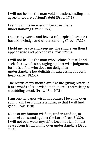I will not be like the man void of understanding and agree to secure a friend's debt (Prov. 17:18).

I set my sights on wisdom because I have understanding (Prov. 17:24).

I spare my words and have a calm spirit, because I have knowledge and understanding (Prov. 17:27).

I hold my peace and keep my lips shut; even then I appear wise and perceptive (Prov. 17:28).

I will not be like the man who isolates himself and seeks his own desire, raging against wise judgment, for he is a fool who does not delight in understanding but delights in expressing his own heart (Prov. 18:1-2).

The words of my mouth are like life-giving water. In it are words of true wisdom that are as refreshing as a bubbling brook (Prov. 18:4, NLT).

I am one who gets wisdom because I love my own soul. I will keep understanding so that I will find good (Prov. 19:8).

None of my human wisdom, understanding, or counsel can stand against the Lord (Prov. 21:30). I will not overwork myself to become rich. I must cease from trying in my own understanding (Prov. 23:4).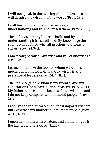I will not speak in the hearing of a fool, because he will despise the wisdom of my words (Prov. 23:9).

I will buy truth, wisdom, instruction, and understanding and will never sell them (Prov. 23:23).

Through wisdom my house is built, and by understanding it is established. By knowledge the rooms will be filled with all precious and pleasant riches (Prov. 24:3-4).

I am strong because I am wise and full of knowledge (Prov. 24:5).

Let me not be like the fool for whom wisdom is too much, but let me be able to speak wisely in the presence of leaders (Prov. 24:7, NLT).

The knowledge of wisdom is my reward, and my expectations for it have been surpassed (Prov. 24:14). My father rejoices in me because I love wisdom, and I do not keep company with immoral people (Prov. 29:3).

I receive the rod of correction, for it imparts wisdom, but I disgrace my mother if I am left to myself (Prov. 29:15, NIV).

I open my mouth with wisdom, and on my tongue is the law of kindness (Prov. 31:26).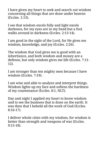I have given my heart to seek and search out wisdom concerning all things that are done under heaven (Eccles. 1:13).

I see that wisdom excels folly and light excels darkness, for my eyes are in my head but a fool walks around in darkness (Eccles. 2:13-14).

I am good in the sight of the Lord, for He gives me wisdom, knowledge, and joy (Eccles. 2:26).

The wisdom that God gives me is good with an inheritance, and both wisdom and money are a defense, but only wisdom gives me life (Eccles. 7:11- 12).

I am stronger than ten mighty men because I have wisdom (Eccles. 7:19).

I am wise and able to analyze and interpret things. Wisdom lights up my face and softens the hardness of my countenance (Eccles. 8:1, NLT).

Day and night I applied my heart to know wisdom and to see the business that is done on the earth. It was then that I beheld all the work of God (Eccles. 8:16-17).

I deliver whole cities with my wisdom, for wisdom is better than strength and weapons of war (Eccles. 9:15-18).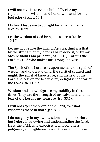I will not give in to even a little folly else my reputation for wisdom and honor will send forth a foul odor (Eccles. 10:1).

My heart leads me to do right because I am wise (Eccles. 10:2).

Let the wisdom of God bring me success (Eccles. 10:10).

Let me not be like the king of Assyria, thinking that by the strength of my hands I have done it, or by my own wisdom I am prudent (Isa. 10:13). For it is the Lord my God who makes me strong and wise.

The Spirit of the Lord rests upon me, and the spirit of wisdom and understanding, the spirit of counsel and might, the spirit of knowledge, and the fear of the Lord also rest on me because my delight is the fear of the Lord (Isa. 11:2-3).

Wisdom and knowledge are my stability in these times. They are the strength of my salvation, and the fear of the Lord is my treasure (Isa. 33:6).

I will not reject the word of the Lord, for what wisdom is there in that? (Jer. 8:9).

I do not glory in my own wisdom, might, or riches, but I glory in knowing and understanding the Lord. He is the I AM, who exercises loving-kindness, judgment, and righteousness in the earth. In these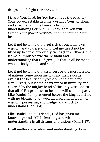things I do delight (Jer. 9:23-24).

I thank You, Lord, for You have made the earth by Your power, established the world by Your wisdom, and stretched out the heavens by Your understanding (Jer. 51:15). I know that You will extend Your power, wisdom, and understanding to heal me.

Let it not be to me that I get rich through my own wisdom and understanding. Let my heart not be lifted up because of worldly riches (Ezek. 28:4-5), but let me humbly receive the wisdom and understanding that God gives, so that I will be made whole—body, mind, and spirit.

Let it not be to me that strangers or the most terrible of nations come upon me to draw their swords against the beauty of my wisdom and defile me (Ezek. 28:7), but let me be wrapped in humility and covered by the mighty hand of the only wise God so that all of His promises to heal me will come to pass. Like Daniel, I am presented before the king as a child with no blemish. I am well favored and gifted in all wisdom, possessing knowledge, and quick to understand (Dan. 1:4).

Like Daniel and his friends, God has given me knowledge and skill in learning and wisdom and understanding in all dreams and visions (Dan. 1:17).

In all matters of wisdom and understanding, I am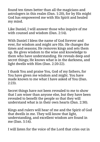found ten times better than all the magicians and astrologers in this realm (Dan. 1:20), for by His might God has empowered me with His Spirit and healed my mind.

Like Daniel, I will answer those who inquire of me with counsel and wisdom (Dan. 2:14).

With Daniel I bless the name of God forever and ever, for wisdom and might are His. He changes the times and seasons; He removes kings and sets them up. He gives wisdom to the wise and knowledge to them who have understanding. He reveals deep and secret things; He knows what is in the darkness, and light dwells with Him (Dan. 2:20-22).

I thank You and praise You, God of my fathers, for You have given me wisdom and might. You have made known to me what I have asked of You (Dan. 2:23).

Secret things have not been revealed to me to show that I am wiser than anyone else, but they have been revealed to benefit the people so that they will understand what is in their own hearts (Dan. 2:30).

Kings and rulers will hear of me and the Spirit of God that dwells in me. They will know that light, understanding, and excellent wisdom are found in me (Dan. 5:14).

I will listen for the voice of the Lord that cries out in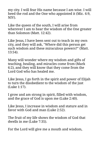my city. I will fear His name because I am wise. I will heed the rod and the One who appointed it (Mic. 6:9, NIV).

Like the queen of the south, I will arise from wherever I am to hear the wisdom of the One greater than Solomon (Matt. 12:42).

Like Jesus, I have been sent out to teach in my own city, and they will ask, "Where did this person get such wisdom and these miraculous powers?" (Matt. 13:54).

Many will wonder where my wisdom and gifts of teaching, healing, and miracles come from (Mark 6:2), and they will know that they come from the Lord God who has healed me.

Like Jesus, I go forth in the spirit and power of Elijah to turn the disobedient to the wisdom of the just (Luke 1:17).

I grow and am strong in spirit, filled with wisdom, and the grace of God is upon me (Luke 2:40).

Like Jesus, I increase in wisdom and stature and in favor with God and man (Luke 2:52).

The fruit of my life shows the wisdom of God that dwells in me (Luke 7:35).

For the Lord will give me a mouth and wisdom,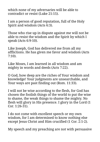which none of my adversaries will be able to contradict or resist (Luke 21:15).

I am a person of good reputation, full of the Holy Spirit and wisdom (Acts 6:3).

Those who rise up in dispute against me will not be able to resist the wisdom and the Spirit by which I speak (Acts 6:9-10).

Like Joseph, God has delivered me from all my afflictions. He has given me favor and wisdom (Acts 7:10).

Like Moses, I am learned in all wisdom and am mighty in words and deeds (Acts 7:22).

O God, how deep are the riches of Your wisdom and knowledge! Your judgments are unsearchable, and Your ways are past finding out (Rom. 11:33).

I will not be wise according to the flesh, for God has chosen the foolish things of the world to put the wise to shame, the weak things to shame the mighty. No flesh will glory in His presence. I glory in the Lord (1 Cor. 1:26-31).

I do not come with excellent speech or my own wisdom, for I am determined to know nothing else except Jesus Christ and Him crucified (1 Cor. 2:1-2).

My speech and my preaching are not with persuasive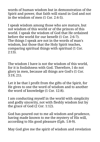words of human wisdom but in demonstration of the Spirit and power, that faith will stand in God and not in the wisdom of men (1 Cor. 2:4-5).

I speak wisdom among those who are mature, but not wisdom of this world or of the princes of this world. I speak the wisdom of God that He ordained before the world for our benefit (1 Cor. 2:6-7). The things I speak are not in the words of man's wisdom, but those that the Holy Spirit teaches, comparing spiritual things with spiritual (1 Cor. 2:13).

The wisdom I have is not the wisdom of this world, for it is foolishness with God. Therefore, I do not glory in men, because all things are God's (1 Cor. 3:19, 21).

Let it be that I profit from the gifts of the Spirit, for He gives to one the word of wisdom and to another the word of knowledge (1 Cor. 12:8).

I am conducting myself in the world with simplicity and godly sincerity, not with fleshly wisdom but by the grace of God (2 Cor. 1:12).

God has poured out to me all wisdom and prudence, having made known to me the mystery of His will, according to His good pleasure (Eph. 1:8-9).

May God give me the spirit of wisdom and revelation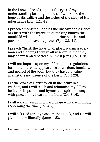in the knowledge of Him. Let the eyes of my understanding be enlightened so I will know the hope of His calling and the riches of the glory of His inheritance (Eph. 1:17-18).

I preach among the Gentiles the unsearchable riches of Christ with the intention of making known the manifold wisdom of God to the principalities and powers in the heavenly places (Eph. 3:8, 11).

I preach Christ, the hope of all glory, warning every man and teaching them in all wisdom so that they may be presented perfect in Christ Jesus (Col. 1:28).

I will not impose upon myself religious regulations, for in them are the appearance of wisdom, humility, and neglect of the body, but they have no value against the indulgence of the flesh (Col. 2:23).

Let the Word of Christ dwell in me richly in all wisdom, and I will teach and admonish my fellow believers in psalms and hymns and spiritual songs with grace in my heart to the Lord (Col. 3:16).

I will walk in wisdom toward those who are without, redeeming the time (Col. 4:5).

I will ask God for any wisdom that I lack, and He will give it to me liberally (James 1:5).

Let me not be filled with bitter envy and strife in my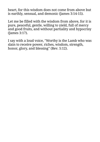heart, for this wisdom does not come from above but is earthly, sensual, and demonic (James 3:14-15).

Let me be filled with the wisdom from above, for it is pure, peaceful, gentle, willing to yield, full of mercy and good fruits, and without partiality and hypocrisy (James 3:17).

I say with a loud voice, "Worthy is the Lamb who was slain to receive power, riches, wisdom, strength, honor, glory, and blessing" (Rev. 5:12).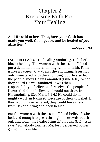# Chapter 2 Exercising Faith For Your Healing

#### **And He said to her, "Daughter, your faith has made you well. Go in peace, and be healed of your affliction."**

**—Mark 5:34**

FAITH RELEASES THE healing anointing. Unbelief blocks healing. The woman with the issue of blood put a demand on the anointing with her faith. Faith is like a vacuum that draws the anointing. Jesus not only ministered with the anointing, but He also let the people know He was anointed (Luke 4:18). When they heard He was anointed, it was their responsibility to believe and receive. The people of Nazareth did not believe and could not draw from His anointing. (See Mark 6:1-6.) He could do no mighty work in Nazareth because of their unbelief. If they would have believed, they could have drawn from His anointing and been healed.

But the woman with the issue of blood believed. She believed enough to press through the crowds, reach out, and touch the healer Himself. In Luke 8:46, Jesus says, "Somebody touched Me, for I perceived power going out from Me."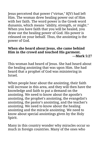Jesus perceived that power ("virtue," KJV) had left Him. The woman drew healing power out of Him with her faith. The word power is the Greek word dunamis, which means "ability, strength, or might." When you have faith that you will be healed, you draw out the healing power of God. His power is released on your behalf. Thus, the anointing is the power of God.

### **When she heard about Jesus, she came behind Him in the crowd and touched His garment. —Mark 5:27**

This woman had heard of Jesus. She had heard about the healing anointing that was upon Him. She had heard that a prophet of God was ministering in Israel.

When people hear about the anointing, their faith will increase in this area, and they will then have the knowledge and faith to put a demand on the anointing. We need to know about the apostle's anointing, the prophet's anointing, the evangelist's anointing, the pastor's anointing, and the teacher's anointing. We need to know about the healing anointing and the miracle anointing. We need to know about special anointings given by the Holy Spirit.

Many in this country wonder why miracles occur so much in foreign countries. Many of the ones who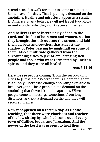attend crusades walk for miles to come to a meeting. Some travel for days. That is putting a demand on the anointing. Healing and miracles happen as a result. In America, many believers will not travel two blocks — and wonder why they don't receive miracles.

**And believers were increasingly added to the Lord, multitudes of both men and women, so that they brought the sick out into the streets and laid them on beds and couches, that at least the shadow of Peter passing by might fall on some of them. Also a multitude gathered from the surrounding cities to Jerusalem, bringing sick people and those who were tormented by unclean spirits, and they were all healed.**

**—Acts 5:14-16**

Here we see people coming "from the surrounding cities to Jerusalem." Where there is a demand, there is a supply. There was enough anointing available to heal everyone. These people put a demand on the anointing that flowed from the apostles. When people come to meetings, sometimes from long distances, and put a demand on the gift, they will receive miracles

**Now it happened on a certain day, as He was teaching, that there were Pharisees and teachers of the law sitting by, who had come out of every town of Galilee, Judea, and Jerusalem. And the power of the Lord was present to heal them. —Luke 5:17**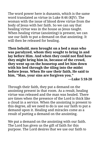The word power here is dunamis, which is the same word translated as virtue in Luke 8:46 (KJV). The woman with the issue of blood drew virtue from the body of Jesus with her faith. So we can say that healing virtue was in the house as Jesus taught. When healing virtue (anointing) is present, we can use our faith to put a demand on that anointing. It will then be released for healing.

**Then behold, men brought on a bed a man who was paralyzed, whom they sought to bring in and lay before Him. And when they could not find how they might bring him in, because of the crowd, they went up on the housetop and let him down with his bed through the tiling into the midst before Jesus. When He saw their faith, He said to him, "Man, your sins are forgiven you." —Luke 5:18-20**

Through their faith, they put a demand on the anointing present in that room. As a result, healing virtue was released and the man was healed. There are times when the presence of the Lord is thick like a cloud in a service. When the anointing is present to this degree, all we need to do is use our faith to put a demand upon it. Healing and miracles come as a result of putting a demand on the anointing.

We put a demand on the anointing with our faith. The Lord has given us the gift of faith for this purpose. The Lord desires that we use our faith to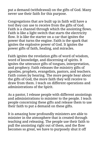put a demand (withdrawal) on the gifts of God. Many never use their faith for this purpose.

Congregations that are built up in faith will have a tool they can use to receive from the gifts of God. Faith is a channel through which the anointing flows. Faith is like a light switch that starts the electricity flow. It is like the starter on a car that ignites the power that turns the engine. Faith is the spark that ignites the explosive power of God. It ignites the power gifts of faith, healing, and miracles.

Faith ignites the revelation gifts of word of wisdom, word of knowledge, and discerning of spirits. It ignites the utterance gifts of tongues, interpretation, and prophecy. Faith releases the ministry gifts of apostles, prophets, evangelists, pastors, and teachers. Faith comes by hearing. The more people hear about the gifts of God, the more faith they will receive to draw from them. I teach on different operations and administrations of the Spirit.

As a pastor, I release people with different anointings and administrations to minister to the people. I teach people concerning these gifts and release them to use their faith to put a demand on these gifts.

It is amazing how profoundly ministers are able to minister in the atmosphere that is created through teaching and releasing. The people use their faith to pull the anointing right out of them, and the flow becomes so great, we have to purposely shut it off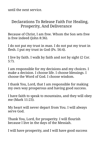until the next service.

### Declarations To Release Faith For Healing, Prosperity, And Deliverance

Because of Christ, I am free. Whom the Son sets free is free indeed (John 8:36).

I do not put my trust in man. I do not put my trust in flesh. I put my trust in God (Ps. 56:4).

I live by faith. I walk by faith and not by sight (2 Cor. 5:7).

I am responsible for my decisions and my choices. I make a decision. I choose life. I choose blessings. I choose the Word of God. I choose wisdom.

I thank You, Lord, that I am responsible for making my own way prosperous and having good success.

I have faith to speak to mountains, and they will obey me (Mark 11:23).

My heart will never depart from You. I will always serve God.

Thank You, Lord, for prosperity. I will flourish because I live in the days of the Messiah.

I will have prosperity, and I will have good success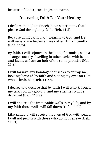because of God's grace in Jesus's name.

### Increasing Faith For Your Healing

I declare that I, like Enoch, have a testimony that I please God through my faith (Heb. 11:5).

Because of my faith, I am pleasing to God, and He will reward me because I seek after Him diligently (Heb. 11:6).

By faith, I will sojourn in the land of promise, as in a strange country, dwelling in tabernacles with Isaac and Jacob, as I am an heir of the same promise (Heb. 11:9).

I will forsake any bondage that seeks to entrap me, looking forward by faith and setting my eyes on Him who is invisible (Heb. 11:27).

I decree and declare that by faith I will walk through my trials on dry ground, and my enemies will be drowned (Heb. 11:29).

I will encircle the immovable walls in my life, and by my faith those walls will fall down (Heb. 11:30).

Like Rahab, I will receive the men of God with peace. I will not perish with those who do not believe (Heb. 11:31).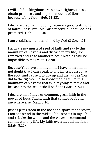I will subdue kingdoms, rain down righteousness, obtain promises, and stop the mouths of lions because of my faith (Heb. 11:33).

I declare that I will not only receive a good testimony of faithfulness, but I will also receive all that God has promised (Heb. 11:39-40).

I am established and anointed by God (2 Cor. 1:21).

I activate my mustard seed of faith and say to this mountain of sickness and disease in my life, "Be removed and go to another place." Nothing will be impossible to me (Matt. 17:20).

Because You have anointed me, I have faith and do not doubt that I can speak to any illness, curse it at the root, and cause it to dry up and die, just as You did to the fig tree. I also know that if I tell to this mountain of sickness that is in my way to move and be cast into the sea, it shall be done (Matt. 21:21).

I declare that I have uncommon, great faith in the power of Jesus Christ, faith that cannot be found anywhere else (Matt. 8:10).

Just as Jesus stood in the boat and spoke to the storm, I too can stand in the midst of the storms in my life and rebuke the winds and the waves to command calmness in my life. My faith overrides all my fears (Matt. 8:26).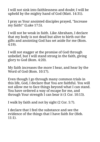I will not sink into faithlessness and doubt; I will be upheld by the mighty hand of God (Matt. 14:31).

I pray as Your anointed disciples prayed, "Increase my faith!" (Luke 17:5).

I will not be weak in faith. Like Abraham, I declare that my body is not dead but alive to birth out the gifts and anointing God has set aside for me (Rom. 4:19).

I will not stagger at the promise of God through unbelief, but I will stand strong in the faith, giving glory to God (Rom. 4:20).

My faith increases the more I hear, and hear by the Word of God (Rom. 10:17).

Even though I go through many common trials in this life, God, I declare that You are faithful. You will not allow me to face things beyond what I can stand. You have ordered a way of escape for me, and through Your strength I can bear it (1 Cor. 10:13).

I walk by faith and not by sight (2 Cor. 5:7).

I declare that I feel the substance and see the evidence of the things that I have faith for (Heb. 11:1).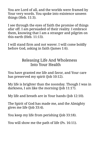You are Lord of all, and the worlds were framed by Your very words. You spoke into existence unseen things (Heb. 11:3).

I see through the eyes of faith the promise of things afar off. I am persuaded of their reality. I embrace them, knowing that I am a stranger and pilgrim on this earth (Heb. 11:13).

I will stand firm and not waver. I will come boldly before God, asking in faith (James 1:6).

## Releasing Life And Wholeness Into Your Health

You have granted me life and favor, and Your care has preserved my spirit (Job 10:12).

My life is brighter than the noonday. Though I was in darkness, I am like the morning (Job 11:17).

My life and breath are in Your hands (Job 12:10).

The Spirit of God has made me, and the Almighty gives me life (Job 33:4).

You keep my life from perishing (Job 33:18).

You will show me the path of life (Ps. 16:11).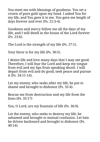You meet me with blessings of goodness. You set a crown of pure gold upon my head. I asked You for my life, and You gave it to me. You gave me length of days forever and ever (Ps. 21:3-4).

Goodness and mercy follow me all the days of my life, and I will dwell in the house of the Lord forever (Ps. 23:6).

The Lord is the strength of my life (Ps. 27:1).

Your favor is for my life (Ps. 30:5).

I desire life and love many days that I may see good. Therefore, I will fear the Lord and keep my tongue from evil and my lips from speaking deceit. I will depart from evil and do good; seek peace and pursue it (Ps. 34:11-14).

Let my enemy, who seeks after my life, be put to shame and brought to dishonor (Ps. 35:4).

Rescue me from destruction and my life from the lions (Ps. 35:17)

You, O Lord, are my fountain of life (Ps. 36:9).

Let the enemy, who seeks to destroy my life, be ashamed and brought to mutual confusion. Let him be driven backward and brought to dishonor (Ps. 40:14).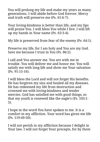You will prolong my life and make my years as many generations. I will abide before God forever. Mercy and truth will preserve me (Ps. 61:6-7).

Your loving-kindness is better than life, and my lips will praise You. I will bless You while I live. I will lift up my hands in Your name (Ps. 63:3-4).

My life is preserved from fear of the enemy (Ps. 64:1).

Preserve my life, for I am holy and You are my God. Save me because I trust in You (Ps. 86:2).

I call and You answer me. You are with me in trouble. You will deliver me and honor me. You will satisfy me with long life and show me Your salvation (Ps. 91:15-16).

I will bless the Lord and will not forget His benefits. He has forgiven my sins and healed all my diseases. He has redeemed my life from destruction and crowned me with loving-kindness and tender mercies. God has satisfied me with good things, so that my youth is renewed like the eagle's (Ps. 103:1- 5).

I hope in the word You have spoken to me. It is a comfort in my affliction. Your word has given me life (Ps. 119:49-50).

I will not perish in my affliction because I delight in Your law. I will not forget Your precepts, for by them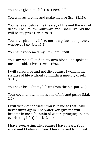You have given me life (Ps. 119:92-93).

You will restore me and make me live (Isa. 38:16).

You have set before me the way of life and the way of death. I will follow Your way, and I shall live. My life will be my prize (Jer. 21:8-9).

You have given my life to me as a prize in all places, wherever I go (Jer. 45:5).

You have redeemed my life (Lam. 3:58).

You saw me polluted in my own blood and spoke to me and said, "Live!" (Ezek. 16:6).

I will surely live and not die because I walk in the statutes of life without committing iniquity (Ezek. 33:15).

You have brought my life up from the pit (Jon. 2:6).

Your covenant with me is one of life and peace (Mai. 2:5).

I will drink of the water You give me so that I will never thirst again. The water You give me will become in me a fountain of water springing up into everlasting life (John 4:13-14).

I have everlasting life because I have heard Your word and I believe in You. I have passed from death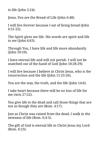to life (John 5:24).

Jesus, You are the Bread of Life (John 6:48).

I will live forever because I eat of living bread (John 6:51-52).

The Spirit gives me life. His words are spirit and life to me (John 6:63).

Through You, I have life and life more abundantly (John 10:10).

I have eternal life and will not perish. I will not be snatched out of the hand of God (John 10:28-29).

I will live because I believe in Christ Jesus, who is the resurrection and the life (John 11:25-26).

You are the way, the truth, and the life (John 14:6).

I take heart because there will be no loss of life for me (Acts 27:22).

You give life to the dead and call those things that are not as though they are (Rom. 4:17).

Just as Christ was raised from the dead, I walk in the newness of life (Rom. 6:4-5).

The gift of God is eternal life in Christ Jesus my Lord (Rom. 6:23).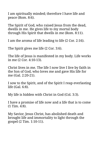I am spiritually minded; therefore I have life and peace (Rom. 8:6).

The Spirit of God, who raised Jesus from the dead, dwells in me. He gives life to my mortal body through His Spirit that dwells in me (Rom. 8:11).

I am the aroma of life leading to life (2 Cor. 2:16).

The Spirit gives me life (2 Cor. 3:6).

The life of Jesus is manifested in my body. Life works in me (2 Cor. 4:10-13).

Christ lives in me. The life I now live I live by faith in the Son of God, who loves me and gave His life for me (Gal. 2:20-21).

I sow to the Spirit, and of the Spirit I reap everlasting life (Gal. 6:8).

My life is hidden with Christ in God (Col. 3:3).

I have a promise of life now and a life that is to come (1 Tim. 4:8).

My Savior, Jesus Christ, has abolished death and brought life and immortality to light through the gospel (2 Tim. 1:10-11).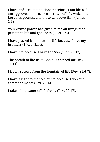I have endured temptation; therefore, I am blessed. I am approved and receive a crown of life, which the Lord has promised to those who love Him (James 1:12).

Your divine power has given to me all things that pertain to life and godliness (2 Pet. 1:3).

I have passed from death to life because I love my brothers (1 John 3:14).

I have life because I have the Son (1 John 5:12).

The breath of life from God has entered me (Rev. 11:11)

I freely receive from the fountain of life (Rev. 21:6-7).

I have a right to the tree of life because I do Your commandments (Rev. 22:14).

I take of the water of life freely (Rev. 22:17).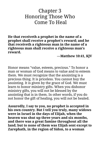# Chapter 3 Honoring Those Who Come To Heal

**He that receiveth a prophet in the name of a prophet shall receive a prophet's reward; and he that receiveth a righteous man in the name of a righteous man shall receive a righteous man's reward.**

**—Matthew 10:41, KJV**

Honor means "value, esteem, precious." To honor a man or woman of God means to value and to esteem them. We must recognize that the anointing is a precious thing. It is priceless. You cannot buy the anointing. It is given by the grace of God. We must learn to honor ministry gifts. When you dishonor ministry gifts, you will not be blessed by the anointing that is in them. In other words, if you do not honor the gift of healing, you will not be healed.

**Assuredly, I say to you, no prophet is accepted in his own country. But I tell you truly, many widows were in Israel in the days of Elijah, when the heaven was shut up three years and six months, and there was a great famine throughout all the land; but to none of them was Elijah sent except to Zarephath, in the region of Sidon, to a woman**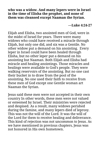### **who was a widow. And many lepers were in Israel in the time of Elisha the prophet, and none of them was cleansed except Naaman the Syrian.**

**—Luke 4:24-27**

Elijah and Elisha, two anointed men of God, were in the midst of Israel for years. There were many widows who could have received a miracle through Elijah, but only one did, and six was a Gentile. No other widow put a demand on his anointing. Every leper in Israel could have been healed through Elisha, but no other leper put a demand on his anointing but Naaman. Both Elijah and Elisha had miracle and healing anointings. Those miracles and healings were available to God's people. They were walking reservoirs of the anointing. But no one cast their bucket in to draw from the pool of the anointing. No one used their faith to receive from these men of God except one Gentile woman art Naaman the Syrian.

Jesus said these men were not accepted in their own country In other words, these men were not valued or esteemed by Israel. Their ministries were rejected and despised. As a result, many widows perished during the famine, and many lepers died of leprosy. This was not the will of the Lord. It was the will of the Lord for them to receive healing and deliverance. This kind of rejection was not uncommon to Jesus. As we have mentioned in previous chapters, Jesus was not honored in His own hometown.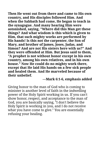**Then He went out from there and came to His own country, and His disciples followed Him. And when the Sabbath had come, He began to teach in the synagogue. And many hearing Him were astonished, saying, "Where did this Man get these things? And what wisdom is this which is given to Him, that such mighty works are performed by His hands! Is this not the carpenter, the Son of Mary, and brother of James, Joses, Judas, and Simon? And are not His sisters here with us?" And they were offended at Him. But Jesus said to them, "A prophet is not without honor except in his own country, among his own relatives, and in his own house." Now He could do no mighty work there, except that He laid His hands on a few sick people and healed them. And He marveled because of their unbelief.**

#### **—Mark 6:1-6, emphasis added**

Giving honor to the man of God who is coming to minister is another level of faith in the indwelling power of the Holy Spirit working in us. If you can't show honor, respect, and acceptance to the man of God, you are basically saying, "I don't believe the Holy Spirit is working in you, and I do not receive what you have come to give." You are essentially refusing your healing.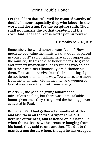## Giving Double Honor

### **Let the elders that rule well be counted worthy of double honour, especially they who labour in the word and doctrine. For the scripture saith, Thou shalt not muzzle the ox that treadeth out the corn. And, The labourer is worthy of his reward.**

#### **—1 Timothy 5:17-18, KJV**

Remember, the word honor means "value." How much do you value the ministers that God has placed in your midst? Paul is talking here about supporting the ministry. In this case, to honor means "to give to and support financially." Congregations who do not bless their ministers financially are dishonoring them. You cannot receive from their anointing if you do not honor them in this way. You will receive more from the anointing, within the men and women of God, if you honor them with your giving.

In Acts 28, the people's giving followed the miraculous healing, but there was unmistakable honor given once they recognized the healing power activated in Paul.

**But when Paul had gathered a bundle of sticks and laid them on the fire, a viper came out because of the heat, and fastened on his hand. So when the natives saw the creature hanging from his hand, they said to one another, "No doubt this man is a murderer, whom, though he has escaped**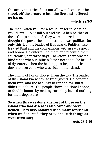### **the sea, yet justice does not allow to live." But he shook off the creature into the fire and suffered no harm.**

**—Acts 28:3-5**

The men watch Paul for a while longer to see if he would swell up or fall out and die. When neither of these things happened, they were amazed and thought the power he demonstrated was godlike. Not only this, but the leader of this island, Publius, also treated Paul and his companions with great respect and honor. He entertained them and received them courteously for three days. Therefore, there was no hindrance when Publius's father needed to be healed of dysentery. Then the healing just began to trickle down to everyone who was sick on the island.

The giving of honor flowed from the top. The leader of this island knew how to treat guests. He honored them first, and the healings began to flow. But it didn't stop there. The people show additional honor, or double honor, by making sure they lacked nothing for their departure.

**So when this was done, the rest of those on the island who had diseases also came and were healed. They also honored us in many ways; and when we departed, they provided such things as were necessary.**

**—Acts 28:9-10**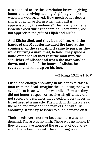It is not hard to see the correlation between giving honor and receiving healing. A gift is given best when it is well received. How much better does a singer or actor perform when their gift is appreciated by the audience? This is why so many Israelites died during the famine. They simply did not appreciate the gifts of Elijah and Elisha.

**And Elisha died, and they buried him. And the bands of the Moabites invaded the land at the coming in of the year. And it came to pass, as they were burying a man, that, behold, they spied a band of men; and they cast the man into the sepulcher of Elisha: and when the man was let down, and touched the bones of Elisha, he revived, and stood up on his feet.**

### **—2 Kings 13:20-21, KJV**

Elisha had enough anointing in his bones to raise a man from the dead. Imagine the anointing that was available to Israel while he was alive! Because they did not honor, respect, or receive his gifts, they did not receive the miracles they needed. Every leper in Israel needed a miracle. The Lord, in His mercy, saw the need and provided the man of God with His anointing. It was up to Israel to put a demand on it.

Their needs were not met because there was no demand. There was no faith. There was no honor. If they would have honored the prophet of God, they would have been healed. The anointing was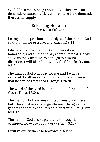available. It was strong enough. But there was no demand. As stated earlier, where there is no demand, there is no supply.

# Releasing Honor To The Man Of God

Let my life be precious in the sight of the man of God so that I will be preserved (2 Kings 1:13-14).

I declare that the man of God in this city is honorable, and all that he says comes to pass. He will show us the way to go. When I go to him for direction, I will bless him with valuable gifts (1 Sam. 9:6-9).

The man of God will pray for me and I will be restored. I will make room in my home for him so that he can be refreshed (1 Kings 13:6-8).

The word of the Lord is in the mouth of the man of God (1 Kings 17:24).

The man of God pursues righteousness, godliness, faith, love, patience, and gentleness. He fights the good fight of faith and lays hold of eternal life (1 Tim. 6:11-13).

The man of God is complete and thoroughly equipped for every good work (2 Tim. 3:17).

I will go everywhere to borrow vessels to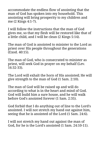accommodate the endless flow of anointing that the man of God has spoken into my household. This anointing will bring prosperity to my children and me (2 Kings 4:1-7).

I will follow the instructions that the man of God gives me, so that my flesh will be restored like that of a little child, and I will be clean (2 Kings 5:14).

The man of God is anointed to minister to the Lord as priest over His people throughout the generations (Exod. 40:15).

The man of God, who is consecrated to minister as priest, will seek God in prayer on my behalf (Lev. 16:32-33).

The Lord will exhalt the horn of His anointed; He will give strength to the man of God (1 Sam. 2:10).

The man of God will be raised up and will do according to what is in the heart and mind of God. God will build him a sure house, and he will walk before God's anointed forever (1 Sam. 2:35).

God forbid that I do anything out of line to the Lord's anointed. I will not stretch my hand out against him, seeing that he is anointed of the Lord (1 Sam. 24:6).

I will not stretch my hand out against the man of God, for he is the Lord's anointed (1 Sam. 24:10-11).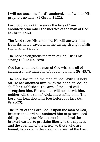I will not touch the Lord's anointed, and I will do His prophets no harm (1 Chron. 16:22).

Lord God, do not turn away the face of Your anointed; remember the mercies of the man of God (2 Chron. 6:42).

The Lord saves His anointed; He will answer him from His holy heaven with the saving strength of His right hand (Ps. 20:6).

The Lord strengthens the man of God. His is his saving refuge (Ps. 28:8).

God has anointed the man of God with the oil of gladness more than any of his companions (Ps. 45:7).

The Lord has found the man of God. With His holy oil, He has anointed him. With the hand of God, he shall be established. The arm of the Lord will strengthen him. His enemies will not outwit him, neither will the son of wickedness afflict him. The Lord will beat down his foes before his face (Ps. 89:20-23).

The Spirit of the Lord God is upon the man of God, because the Lord has anointed him to preach good tidings to the poor. He has sent him to heal the brokenhearted; to proclaim liberty to the captives and the opening of the prison to those who are bound; to proclaim the acceptable year of the Lord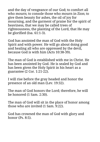and the day of vengeance of our God; to comfort all who mourn; to console those who mourn in Zion; to give them beauty for ashes, the oil of joy for mourning, and the garment of praise for the spirit of heaviness, that we may be called trees of righteousness, the planting of the Lord, that He may be glorified (Isa. 61:1-3).

God has anointed the man of God with the Holy Spirit and with power. He will go about doing good and healing all who are oppressed by the devil, because God is with him (Acts 10:38-39).

The man of God is established with me in Christ. He has been anointed by God. He is sealed by God and has been given the Holy Spirit in his heart as a guarantee (2 Cor. 1:21-22).

I will rise before the gray headed and honor the presence of an old man (Lev. 19:32).

The man of God honors the Lord; therefore, he will be honored (1 Sam. 2:30).

The man of God will sit in the place of honor among those who are invited (1 Sam. 9:22).

God has crowned the man of God with glory and honor (Ps. 8:5).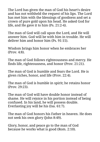The Lord has given the man of God his heart's desire and has not withheld the request of his lips. The Lord has met him with the blessings of goodness and set a crown of pure gold upon his head. He asked God for life, and He gave it to him (Ps. 21:2-4).

The man of God will call upon the Lord, and He will answer him. God will be with him in trouble. He will deliver him and honor him (Ps. 91:15).

Wisdom brings him honor when he embraces her (Prov. 4:8).

The man of God follows righteousness and mercy. He finds life, righteousness, and honor (Prov. 21:21).

The man of God is humble and fears the Lord. He is given riches, honor, and life (Prov. 22:4).

The man of God is humble in spirit; he retains honor (Prov. 29:23).

The man of God will have double honor instead of shame. He will rejoice in his portion instead of being confused. In his land, he will possess double. Everlasting joy will be his (Isa. 61:7).

The man of God honors his Father in heaven. He does not seek his own glory (John 8:49).

Glory, honor, and peace go to the man of God because he works what is good (Rom. 2:10).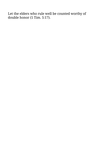Let the elders who rule well be counted worthy of double honor (1 Tim. 5:17).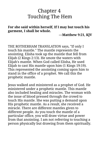# Chapter 4 Touching The Hem

**For she said within herself, If I may but touch his garment, I shall be whole.**

**—Matthew 9:21, KJV**

THE ROTHERHAM TRANSLATION says, "If only I touch his mantle." The mantle represents the anointing. Elisha took up the mantle that fell from Elijah (2 Kings 2:13). He smote the waters with Elijah's mantle. When God called Elisha, He used Elijah to cast His mantle upon him (1 Kings 19:19). This represented the anointing coming upon him to stand in the office of a prophet. We call this the prophetic mantle.

Jesus walked and ministered as a prophet of God. He ministered under a prophetic mantle. This mantle also included healing and miracles. The woman with the issue of blood pressed through the crowd to touch His mantle. She was putting a demand upon His prophetic mantle. As a result, she received a miracle. There are different mantles given to different people. As you touch the mantle of a particular office, you will draw virtue and power from that anointing. I am not referring to touching a person physically but drawing from them spiritually.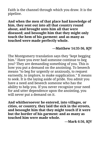Faith is the channel through which you draw. It is the pipeline.

**And when the men of that place had knowledge of him, they sent out into all that country round about, and brought unto him all that were diseased; and besought him that they might only touch the hem of his garment: and as many as touched were made perfectly whole.**

**—Matthew 14:35-36, KJV**

The Montgomery translation says they "kept begging him." Have you ever had someone continue to beg you? They are demanding something of you. This is how you put a demand on the anointing. To beseech means "to beg for urgently or anxiously, to request earnestly, to implore, to make supplication." It means to seek. It is the laying aside of pride. You admit you have a need and beseech someone who has the ability to help you. If you never recognize your need for and utter dependence upon the anointing, you will never put a demand on it.

**And whithersoever he entered, into villages, or cities, or country, they laid the sick in the streets, and besought him that they might touch if it were but the border of his garment: and as many as touched him were made whole.**

**—Mark 6:56, KJV**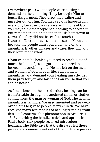Everywhere Jesus went people were putting a demand on the anointing. They besought Him to touch His garment. They drew the healing and miracles out of Him. You may say this happened in every city because it was a sovereign move of God. You may think the people had nothing to do with it. But remember, it didn't happen in His hometown of Nazareth. They did not beseech to touch Him in Nazareth. These miracles didn't occur in Nazareth because the people didn't put a demand on the anointing. In other villages and cities, they did, and they were made whole.

If you want to be healed you need to reach out and touch the hem of Jesus's garment. You need to beseech the anointing that He has left on the men and women of God in your life. Pull on their anointings, and demand your healing miracle. Let them pray for you and lay hands on you so that you can be healed.

As I mentioned in the introduction, healing can be transferrable through the anointed cloths or clothes coming from the man or woman of God. The healing anointing is tangible. We used anointed and prayedover cloths to give to people at my church. We have received many testimonies of healing resulting from this. Paul confirms this phenomenon in Acts 19:11- 13. By touching the handkerchiefs and aprons from Paul's body, sick people received miraculous healings. The Bible says that the diseases left these people and demons went out of them. This requires a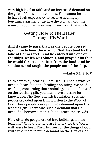very high level of faith and an increased demand on the gifts of God's anointed ones. You cannot hesitate to have high expectancy to receive healing by touching a garment. Just like the woman with the issue of blood had, you must draw from that touch.

### Getting Close To The Healer Through His Word

**And it came to pass, that, as the people pressed upon him to hear the word of God, he stood by the lake of Gennesaret...And he entered into one of the ships, which was Simon's, and prayed him that he would thrust out a little from the land. And he sat down, and taught the people out of the ship.**

**—Luke 5:1, 3, KJV**

Faith comes by hearing (Rom. 10:17). That is why we need to hear about the healing anointing. We need teaching concerning that anointing. To put a demand on the teaching gift, you must have a desire for knowledge. The New English translation says the people crowded upon Him to listen to the Word of God. These people were putting a demand upon His teaching gift. There was such a demand that He needed to borrow Simon's ship to teach the crowds.

How often do people crowd into buildings to hear teaching? Only those who are hungry for the Word will press to hear. Their hunger for the things of God will cause them to put a demand on the gifts of God.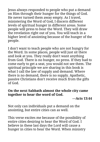Jesus always responded to people who put a demand on Him through their hunger for the things of God. He never turned them away empty. As I travel, ministering the Word of God, I discern different levels of spiritual hunger in different areas. Some people will press to hear the Word. They will draw the revelation right out of you. You will teach in a higher level of anointing because of the hunger of the people.

I don't want to teach people who are not hungry for the Word. In some places, people will just sit there and look at you. They really don't want anything from God. There is no hunger, no press. If they had to come early to get a seat, you would not see them. The spiritual principle we are sharing in this book is what I call the law of supply and demand. Where there is no demand, there is no supply. Apathetic, passive Christians don't receive much from the gifts of God.

### **On the next Sabbath almost the whole city came together to hear the word of God.**

**—Acts 13:44**

Not only can individuals put a demand on the anointing, but entire cities can as well.

This verse excites me because of the possibility of entire cities desiring to hear the Word of God. I believe in these last days the Lord will cause a hunger in cities to hear the Word. When ministry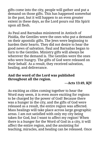gifts come into the city, people will gather and put a demand on those gifts. This has happened somewhat in the past, but it will happen to an even greater extent in these days, as the Lord pours out His Spirit upon all flesh.

As Paul and Barnabas ministered in Antioch of Pisidia, the Gentiles were the ones who put a demand on their apostolic gifts. The Jews were beginning to harden their hearts. They did not desire to hear the good news of salvation. Paul and Barnabas began to turn to the Gentiles. Ministry gifts will always be wherever the demand is. The Gentiles were the ones who were hungry. The gifts of God were released on their behalf. As a result, they received salvation, healing, and deliverance.

### **And the word of the Lord was published throughout all the region.**

#### **—Acts 13:49, KJV**

As exciting as cities coming together to hear the Word may seem, it is even more exciting for regions to be charged by the power of God! Because there was a hunger in the city, and the gifts of God were released as a result, the entire region was affected. Mass healings will take place across large geographic areas. I am not satisfied with only my city being taken for God, but I want to affect my region! When there is a hunger for the Word of God in a city, it will affect the entire region, and the anointing for teaching, miracles, and healing can be released. Once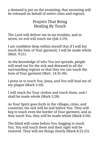a demand is put on the anointing, that anointing will be released on behalf of entire cities and regions.

## Prayers That Bring Healing By Touch

The Lord will deliver me in six troubles, and in seven, no evil will touch me (Job 5:19).

I am confident deep within myself that if I will but touch the hem of Your garment, I will be made whole (Matt. 9:21).

As the knowledge of who You are spreads, people will send out for the sick and diseased in all the surrounding regions so that they too can touch the hem of Your garment (Matt. 14:35-36).

I press in to touch You, Jesus, and You will heal me of my plague (Mark 3:10).

I will reach for Your clothes and touch them, and I shall be made whole (Mark 5:28).

As Your Spirit goes forth in the villages, cities, and countries, the sick will be laid before You. They will beg to touch even the border of Your garment, and as they touch You, they will be made whole (Mark 6:56).

The blind will come before You, begging to touch You. You will touch them and their sight will be restored. They will see things clearly (Mark 8:22-25).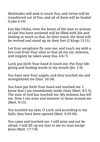Multitudes will seek to touch You, and virtue will be transferred out of You, and all of them will be healed (Luke 6:19).

Just like Elisha, even the bones of the man or woman of God You have anointed will be filled with life and healing so much so that, by their touch, the dead will be revived and stand up on their feet (2 Kings 13:21).

Let Your seraphims fly unto me, and touch me with a live coal from Your altar so that all my sin, sickness, and iniquity be taken away (Isa. 6:6-7).

Lord, put forth Your hand to touch me. Put Your lifegiving and healing words in my mouth (Jer. 1:9).

You have sent Your angels, and they touched me and strengthened me (Dan. 10:18).

You have put forth Your hand and touched me. I know that I am immediately made clean (Matt. 8:2-3). The man of God has touched me. My sickness has left me. Now I can arise and minister to those around me (Matt. 8:15).

You touched my eyes, O Lord, and according to my faith, they have been opened (Matt. 9:29-30).

You came and touched me. I will arise and not be afraid. I will lift up my eyes to see no man except Jesus (Matt. 17:7-8).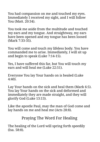You had compassion on me and touched my eyes. Immediately I received my sight, and I will follow You (Matt. 20:34).

You took me aside from the multitude and touched my ears and my tongue. And straightway, my ears have been opened and my tongue has been loosed (Mark 7:33-35).

You will come and touch my lifeless body. You have commanded me to arise. Immediately, I will sit up and begin to speak (Luke 7:14-15).

Yes, I have suffered this far, but You will touch my ears and will heal me (Luke 22:51).

Everyone You lay Your hands on is healed (Luke 4:40).

Lay Your hands on the sick and heal them (Mark 6:5). You lay Your hands on the sick and deformed and immediately they are made straight, and they will glorify God (Luke 13:13).

Like the apostle Paul, may the man of God come and lay hands on me and heal me (Acts 28:8).

# Praying The Word For Healing

The healing of the Lord will spring forth speedily (Isa. 58:8).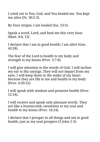I cried out to You, God, and You healed me. You kept me alive (Ps. 30:2-3).

By Your stripes, I am healed (Isa. 53:5).

Speak a word, Lord, and heal me this very hour (Matt. 8:8, 13).

I declare that I am in good health; I am alive (Gen. 43:28).

The fear of the Lord is health to my body and strength to my bones (Prov. 3:7-8).

I will give attention to the words of God. I will incline my ear to His sayings. They will not depart from my eyes. I will keep them in the midst of my heart because they are life to me and health to my body (Prov. 4:20-22).

I will speak with wisdom and promote health (Prov. 12:18).

I will receive and speak only pleasant words. They are like a honeycomb, sweetness to my soul and health to my bones (Prov. 16:24).

I declare that I prosper in all things and am in good health, just as my soul prospers (3 John 2-3).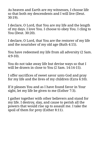As heaven and Earth are my witnesses, I choose life so that both my descendents and I will live (Deut. 30:19).

I declare, O Lord, that You are my life and the length of my days. I love You. I choose to obey You. I cling to You (Deut. 30:20).

I declare, O Lord, that You are the restorer of my life and the nourisher of my old age (Ruth 4:15).

You have redeemed my life from all adversity (2 Sam. 4:9-10).

You do not take away life but devise ways so that I will be drawn in close to You (2 Sam. 14:14-15).

I offer sacrifices of sweet savor unto God and pray for my life and the lives of my children (Ezra 6:10).

If it pleases You and as I have found favor in Your sight, let my life be given to me (Esther 7:3).

I gather together with other believers and stand for my life. I destroy, slay, and cause to perish all the powers that would rise up to assault me. I take the spoil of them for prey (Esther 8:11).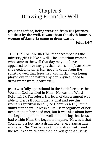# Chapter 5 Drawing From The Well

#### **Jesus therefore, being wearied from His journey, sat thus by the well. It was about the sixth hour. A woman of Samaria came to draw water.**

**John 4:6-7**

THE HEALING ANOINTING that accompanies the ministry gifts is like a well. The Samaritan woman who came to the well that day may not have appeared to have any physical issues, but Jesus knew she needed healing. Her need to draw from the spiritual well that Jesus had within Him was being played out in the natural by her physical need to draw water from Jacob's well.

Jesus was fully operational in the Spirit because the Word of God dwelled in Him—He was the Word (John 1:1-2). Therefore, His level of discernment was able to pierce through the natural and see this woman's spiritual need. (See Hebrews 4:12.) But it didn't stop there. It wasn't just His recognition of her need that got her need met, but it was also about how she began to pull on the well of anointing that Jesus had within Him. She began to inquire, "How is it that You, being a Jew, ask a drink from me, a Samaritan woman?... Sir, You have nothing to draw with, and the well is deep. Where then do You get that living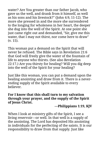water? Are You greater than our father Jacob, who gave us the well, and drank from it himself, as well as his sons and his livestock?" (John 4:9, 11-12). The more she pressed in and the more she surrendered to the longing for wholeness in her heart, the deeper she dug into the well of the Spirit. At one point she just came right out and demanded, "Sir, give me this water, that I may not thirst, nor come here to draw" (v. 15).

This woman put a demand on the Spirit that will never be refused. The Bible says in Revelation 21:6 that God will freely give the water of the fountain of life to anyone who thirsts. (See also Revelation 22:17.) Are you thirsty for healing? Will you dig deep into the well of the Spirit for your healing?

Just like this woman, you can put a demand upon the healing anointing and draw from it. There is a neverending supply of the Spirit available to every believer.

### **For I know that this shall turn to my salvation through your prayer, and the supply of the Spirit of Jesus Christ.**

## **—Philippians 1:19, KJV**

When I look at ministry gifts of the Spirit, I see a living reservoir—or well. In that well is a supply of the anointing. The Lord has deposited His anointing in individuals for the perfecting of the saints. It is our responsibility to draw from that supply. Just like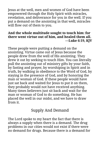Jesus at the well, men and women of God have been empowered through the Holy Spirit with miracles, revelation, and deliverance for you in the well. If you put a demand on the anointing in that well, miracles will flow out of them to you.

### **And the whole multitude sought to touch him: for there went virtue out of him, and healed them all. —Luke 6:19, KJV**

These people were putting a demand on the anointing. Virtue came out of Jesus because the people drew from the well of His anointing. They drew it out by seeking to touch Him. You can literally pull the anointing out of ministry gifts by your faith, by fasting and prayer, by worshiping in Spirit and in truth, by walking in obedience to the Word of God, by staying in the presence of God, and by honoring the man or woman of God. If these people would have just sat back and waited for Jesus to put it on them, they probably would not have received anything. Many times believers just sit back and wait for the man or woman of God to do something. He has placed the well in our midst, and we have to draw from it.

## Supply And Demand

The Lord spoke to my heart the fact that there is always a supply when there is a demand. The drug problems in our cities would not exist if there were no demand for drugs. Because there is a demand for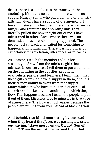drugs, there is a supply. It is the same with the anointing. If there is no demand, there will be no supply. Hungry saints who put a demand on ministry gifts will always have a supply of the anointing. I have ministered in churches where there was such a hunger and thirst for the anointing until they literally pulled the power right out of me. I have ministered in other places where there was no demand, and as a result nothing happened. The people just sat back and waited for something to happen, and nothing did. There was no hunger or expectancy for revelation, utterances, or miracles.

As a pastor, I teach the members of our local assembly to draw from the ministry gifts that minister in our services. I tell them to put a demand on the anointing in the apostles, prophets, evangelists, pastors, and teachers. I teach them that these gifts from God have a supply in them, and it is their responsibility to draw from that supply. Many ministers who have ministered at our local church are shocked by the anointing in which they flow. This happens because I teach the people to pull it out of them. Ministers love to minister in that type of atmosphere. The flow is much easier because the people are pulling from you instead of blocking you.

**And behold, two blind men sitting by the road, when they heard that Jesus was passing by, cried out, saying, "Have mercy on us, O Lord, Son of David!" Then the multitude warned them that**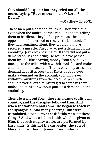### **they should be quiet; but they cried out all the more, saying, "Have mercy on us, O Lord, Son of David!"**

### **—Matthew 20:30-31**

These men put a demand on Jesus. They cried out even when the multitude was rebuking them, telling them to be silent. They had to press past the opposition of the crowd to receive their miracle. If they had remained silent, they would not have received a miracle. They had to put a demand on the anointing. Jesus was passing by. If they did not put a demand on His anointing, He would have passed them by. It is like drawing money from a bank. You must go to the teller with a withdrawal slip and make a demand on the account. That is why they are called demand deposit accounts, or DDAs. If you never make a demand on the account, you will never withdraw anything from the account. A church should never allow a ministry gift to come in their midst and minister without putting a demand on the anointing.

**Then He went out from there and came to His own country, and His disciples followed Him. And when the Sabbath had come, He began to teach in the synagogue. And many hearing Him were astonished, saying, "Where did this Man get these things? And what wisdom is this which is given to Him, that such mighty works are performed by His hands! Is this not the carpenter, the Son of Mary, and brother of James, Joses, Judas, and**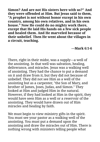**Simon? And are not His sisters here with us?" And they were offended at Him. But Jesus said to them, "A prophet is not without honor except in his own country, among his own relatives, and in his own house." Now He could do no mighty work there, except that He laid His hands on a few sick people and healed them. And He marveled because of their unbelief. Then He went about the villages in a circuit, teaching.**

**—Mark 6:1-6**

There, right in their midst, was a supply—a well of the anointing. In that well was salvation, healing, deliverance, and miracles. Jesus was a walking well of anointing. They had the chance to put a demand on it and draw from it, but they did not because of unbelief. They did not see Him as a well of the anointing but as a carpenter, "the Son of Mary, and brother of James, Joses, Judas, and Simon." They looked at Him and judged Him in the natural. However, if they had looked at Him in the spirit, they would have seen Him as a well or a reservoir of the anointing. They would have drawn out of Him miracles and healing by faith.

We must begin to view ministry gifts in the spirit. You must see your pastor as a walking well of the anointing. You must put a demand upon the anointing and draw the miracles out of Him. There is nothing wrong with ministers telling people what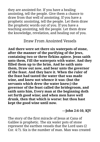they are anointed for. If you have a healing anointing, tell the people. Give them a chance to draw from that well of anointing. If you have a prophetic anointing, tell the people. Let them draw the prophetic words out of you. If you have a teaching anointing, tell the people. Let them draw the knowledge, revelation, and healing out of you.

### Draw From Anointed Vessels

**And there were set there six waterpots of stone, after the manner of the purifying of the Jews, containing two or three firkins apiece. Jesus saith unto them, Fill the waterpots with water. And they filled them up to the brim. And he saith unto them, Draw out now, and bear unto the governor of the feast. And they bare it. When the ruler of the feast had tasted the water that was made wine, and knew not whence it was: (but the servants which drew the water knew;) the governor of the feast called the bridegroom, and saith unto him, Every man at the beginning doth set forth good wine; and when men have well drunk, then that which is worse: but thou hast kept the good wine until now.**

### **—John 2:6-10, KJV**

The story of the first miracle of Jesus at Cana of Galilee is prophetic. The six water pots of stone represent the earthen vessels that the Lord uses (2) Cor. 4:7). Six is the number of man. Man was created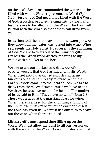on the sixth day. Jesus commanded the water pots be filled with water. Water represents the Word (Eph. 5:26). Servants of God need to be filled with the Word of God. Apostles, prophets, evangelists, pastors, and teachers are to be filled with the Word. The Lord will fill you with the Word so that others can draw from you.

Jesus then told them to draw out of the water pots. As they drew out, the water was turned into wine. Wine represents the Holy Spirit. It represents the anointing of God. We are to draw out of the ministry gifts. Draw is the Greek word *antleo*, meaning to dip water with a bucket or pitcher.

We are to use our buckets and draw out of the earthen vessels that God has filled with His Word. When I get around anointed ministry gifts, my bucket is out and I am ready to draw. When the Lord's vessels come into the local church, we are to draw from them. We draw because we have needs. We draw because we need to be healed. The mother of Jesus said to Him, "They have no wine" (John 2:3). There was a need at the marriage feast for wine. When there is a need for the anointing and flow of the Spirit, we must draw out of the earthen vessels the Lord has given us. We must use our faith to draw out the wine when there is a need.

Ministry gifts must spend time filling up on the Word. We must allow the Lord to fill our vessels up with the water of the Word. As we minister, we must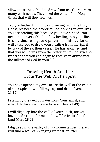allow the saints of God to draw from us. There are so many with needs. They need the wine of the Holy Ghost that will flow from us.

Truly, whether filling up or drawing from the Holy Ghost, we need the power of God flowing in our lives. You are reading this because you have a need. You need the power of God to flow healing into your life. It is my sincere hope and prayer that this revelation will cause you to draw your healing from the Spirit by way of the earthen vessels He has anointed and that you will drink from the water of life God gives so freely so that you can begin to receive in abundance the fullness of God in your life.

### Drawing Health And Life From The Well Of The Spirit

You have opened my eyes to see the well of the water of Your Spirit. I will fill my cup and drink (Gen. 21:19).

I stand by the well of water from Your Spirit, and what I declare shall come to pass (Gen. 24:43).

I will dig deep into the well of Your Spirit, for you have made room for me and I will be fruitful in the land (Gen. 26:22).

I dig deep in the valley of my circumstances; there I will find a well of springing water (Gen. 26:19).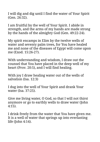I will dig and dig until I find the water of Your Spirit (Gen. 26:32).

I am fruitful by the well of Your Spirit. I abide in strength, and the arms of my hands are made strong by the hands of the almighty God (Gen. 49:22-24).

My spirit encamps in Elim by the twelve wells of water and seventy palm trees, for You have healed me and none of the diseases of Egypt will come upon me (Exod. 15:26-27).

With understanding and wisdom, I draw out the counsel that You have placed in the deep well of my heart (Prov. 20:5), and I will find healing.

With joy I draw healing water out of the wells of salvation (Isa. 12:3)

I dug into the well of Your Spirit and drank Your water (Isa. 37:25).

Give me living water, O God, so that I will not thirst anymore or go to earthly wells to draw water (John 4:15).

I drink freely from the water that You have given me. It is a well of water that springs up into everlasting life (John 4:14).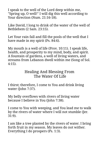I speak to the well of the Lord deep within me, "Spring up, O well!" I will dig this well according to Your direction (Num. 21:16-18).

Like David, I long to drink of the water of the well of Bethlehem (2 Sam. 23:15).

Let Your rain fall and fill the pools of the well that I have made in my spirit (Ps. 84:6).

My mouth is a well of life (Prov. 10:11). I speak life, health, and prosperity to my mind, body, and spirit. A fountain of gardens, a well of living waters, and streams from Lebanon dwell within me (Song of Sol. 4:15).

#### Healing And Blessing From The Water Of Life

I thirst; therefore, I come to You and drink living water (John 7:37).

My belly overflows with rivers of living water because I believe in You (John 7:38).

I come to You with weeping, and You lead me to walk by the rivers of water where I will not stumble (Jer. 31:9).

I am like a tree planted by the rivers of water. I bring forth fruit in my season. My leaves do not wither. Everything I do prospers (Ps. 1:3).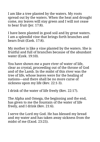I am like a tree planted by the waters. My roots spread out by the waters. When the heat and drought come, my leaves will stay green and I will not cease to bear fruit (Jer. 17:8).

I have been planted in good soil and by great waters. I am a splendid vine that brings forth branches and bears fruit (Ezek. 17:8).

My mother is like a vine planted by the waters. She is fruitful and full of branches because of the abundant water (Ezek. 19:10).

You have shown me a pure river of water of life, clear as crystal, proceeding out of the throne of God and of the Lamb. In the midst of this river was the tree of life, whose leaves were for the healing of nations—and there shall be no more curse of sickness upon my life (Rev. 22:1-3).

I drink of the water of life freely (Rev. 22:17).

The Alpha and Omega, the beginning and the end, has given to me the fountain of the water of life freely, and I drink (Rev. 21:6).

I serve the Lord my God. He has blessed my bread and my water and has taken away sickness from the midst of me (Exod. 23:25).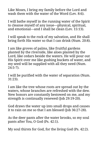Like Moses, I bring my family before the Lord and wash them with the water of the Word (Lev. 8:6).

I will bathe myself in the running water of the Spirit to cleanse myself of any issue—physical, spiritual, and emotional—and I shall be clean (Lev. 15:13).

I will speak to the rock of my salvation, and He shall bring forth His water so that I can drink (Num. 20:8).

I am like groves of palms, like fruitful gardens planted by the riverside, like aloes planted by the Lord, like cedars beside the waters. He will pour out His Spirit over me like gushing buckets of water, and my seed will be supplied with all they need (Num. 24:5-7).

I will be purified with the water of separation (Num. 31:23).

I am like the tree whose roots are spread out by the waters, whose branches are refreshed with the dew. New honors are constantly bestowed on me, and my strength is continually renewed (Job 29:19-20).

God draws the water up into small drops and causes it to rain on me so that I am blessed (Job 36:27-28).

As the deer pants after the water brooks, so my soul pants after You, O God (Ps. 42:1).

My soul thirsts for God, for the living God (Ps. 42:2).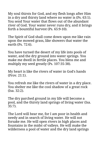My soul thirsts for God, and my flesh longs after Him in a dry and thirsty land where no water is (Ps. 63:1). You send Your water that flows out of the abundant river of God. Your water never runs dry, and it brings forth a bountiful harvest (Ps. 65:9-10).

The Spirit of God shall come down upon me like rain upon the mowed grass, like showers that water the earth (Ps. 72:6).

You have turned the desert of my life into pools of water, and the dry ground into water springs. You make me dwell in fertile places. You bless me and multiply my seed greatly (Ps. 107:35-38).

My heart is like the rivers of water in God's hands (Prov. 21:1).

You refresh me like the rivers of water in a dry place. You shelter me like the cool shadow of a great rock (Isa. 32:2).

The dry parched ground in my life will become a pool, and the thirsty land springs of living water (Isa. 35:7).

The Lord will hear me, for I am poor in health and needy and in search of living water. He will not forsake me. He will open rivers in high places and fountains in the midst of valleys. He will make the wilderness a pool of water and the dry land springs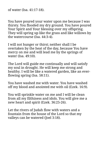of water (Isa. 41:17-18).

You have poured your water upon me because I was thirsty. You flooded my dry ground. You have poured Your Spirit and Your blessing over my offspring. They will spring up like the grass and like willows by the watercourse (Isa. 44:3-4).

I will not hunger or thirst; neither shall I be overtaken by the heat of the day, because You have mercy on me and will lead me by the springs of water (Isa. 49:10).

The Lord will guide me continually and will satisfy my soul in drought. He will keep me strong and healthy. I will be like a watered garden, like an everflowing spring (Isa. 58:11).

You have washed me with water. You have washed off my blood and anointed me with oil (Ezek. 16:9).

You will sprinkle water on me and I will be clean from all my filthiness and idols. You will give me a new heart and spirit (Ezek. 36:25-26).

Let the rivers of Judah flow with waters and a fountain from the house of the Lord so that my valleys can be watered (Joel 3:18).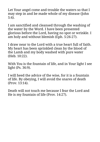Let Your angel come and trouble the waters so that I may step in and be made whole of my disease (John 5:4).

I am sanctified and cleansed through the washing of the water by the Word. I have been presented glorious before the Lord, having no spot or wrinkle. I am holy and without blemish (Eph. 5:26-27).

I draw near to the Lord with a true heart full of faith. My heart has been sprinkled clean by the blood of the Lamb and my body washed with pure water (Heb. 10:22).

With You is the fountain of life, and in Your light I see light (Ps. 36:9).

I will heed the advice of the wise, for it is a fountain of life. By obeying, I will avoid the snares of death (Prov. 13:14).

Death will not touch me because I fear the Lord and He is my fountain of life (Prov. 14:27).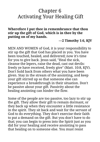## Chapter 6 Activating Your Healing Gift

**Wherefore I put thee in remembrance that thou stir up the gift of God, which is in thee by the putting on of my hands.**

**—2 Timothy 1:6, KJV**

MEN AND WOMEN of God, it is your responsibility to stir up the gift that God has placed in you. You have been touched, healed, and delivered; now it's time for you to give back. Jesus said, "Heal the sick, cleanse the lepers, raise the dead, cast out devils: freely ye have received, freely give" (Matt. 10:8, KJV). Don't hold back from others what you have been given. Stay in the stream of the anointing, and keep your gift stirred up so that someone else can experience a breakthrough in their situation. Don't be passive about your gift. Passivity about the healing anointing can hinder the flow.

Some of the people are too passive, too lazy to stir up the gift. They allow their gift to remain dormant, or they back up when they encounter a little resistance in the spirit. They sit back and wait for the servant of God to do everything. They don't exercise their faith to put a demand on the gift. But you don't have to do that; you can begin to press into the Spirit just as you did for your healing and receive anointing to pass that healing on to someone else. You must resist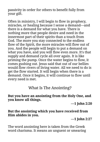passivity in order for others to benefit fully from your gift.

Often in ministry, I will begin to flow in prophecy, miracles, or healing because I sense a demand—and there is a demand for what you have. There is nothing more that people desire and need in the innermost part of their spirits than a touch from God. The more you stay connected to the endless flow of the Spirit, the more miracles will flow out of you. And the people will begin to put a demand on what you have, and you will flow even more. It's that supply and demand cycle all over again. It is like priming the pump. Once the water begins to flow, it comes gushing out. Jesus said that out of our bellies would flow rivers of living water. All we need to do is get the flow started. It will begin when there is a demand. Once it begins, it will continue to flow until every need is met.

## What Is The Anointing?

#### **But you have an anointing from the Holy One, and you know all things.**

**—1 John 2:20**

#### **But the anointing which you have received from Him abides in you.**

**—1 John 2:27**

The word anointing here is taken from the Greek word charisma. It means an unguent or smearing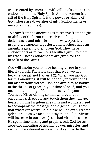(represented by smearing with oil). It also means an endowment of the Holy Spirit. An endowment is a gift of the Holy Spirit. It is the power or ability of God. There are diversities of gifts (endowments or miraculous faculties).

To draw from the anointing is to receive from the gift or ability of God. You can receive healing, deliverance, and miracles in this way. Apostles, prophets, evangelists, pastors, and teachers have an anointing given to them from God. They have endowments or miraculous faculties given to them by grace. These endowments are given for the benefit of the saints.

God will anoint you to have healing virtue in your life, if you ask. The Bible says that we have not because we ask not (James 4:2). When you ask God for this anointing, it will be not only in your hands but also in your clothes. Don't be afraid to go boldly to the throne of grace in your time of need, and you need the anointing of God to be active in your life. You need His anointing so that wherever you encounter sick people and touch them they will get healed. In this kingdom age signs and wonders need to accompany the message of the gospel. Jesus said that whatever works He did, we will do even greater (John 14:12), as we fast and pray that healing virtue will increase in our lives. Jesus had virtue because He spent time fasting and praying. Ask God for an apostolic anointing of healing power, miracles, and virtue to be released in your life. As you go to the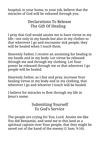hospital, to your home, to your job, believe that the miracles of God will be released through you.

### Declarations To Release The Gift Of Healing

I pray that God would anoint me to have virtue in my life—not only in my hands but also in my clothes so that wherever I go and encounter sick people, they will be healed when I touch them.

Heavenly Father, I receive an anointing for healing in my hands and in my body. Let virtue be released through me and through my clothing. Let Your power be released through me so that wherever I go people will be healed.

Heavenly Father, as I fast and pray, increase Your healing virtue in my body and in my clothing, that wherever I go and whoever I touch will be healed.

I believe for miracles to flow through my life in Jesus's name.

### Submitting Yourself To God's Service

The people are crying for You, Lord. Anoint me like You did Benjamin, and send me to this land as a spiritual captain over Your people, that they might be saved out of the hand of the enemy (1 Sam. 9:16).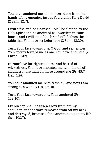You have anointed me and delivered me from the hands of my enemies, just as You did for King David (2 Sam. 12:7).

I will arise and be cleansed, I will be clothed by the Holy Spirit and be anointed as I worship in Your house, and I will eat of the bread of life from the table that You have set before me (2 Sam. 12:20).

Turn Your face toward me, O God, and remember Your mercy toward me as one You have anointed (2 Chron. 6:42).

In Your love for righteousness and hatred of wickedness, You have anointed me with the oil of gladness more than all those around me (Ps. 45:7; Heb. 1:9).

You have anointed me with fresh oil, and now I am strong as a wild ox (Ps. 92:10).

Turn Your face toward me, Your anointed (Ps. 132:10).

My burden shall be taken away from off my shoulder, and the yoke removed from off my neck and destroyed, because of the anointing upon my life (Isa. 10:27).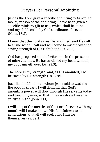#### Prayers For Personal Anointing

Just as the Lord gave a specific anointing to Aaron, so too, by reason of the anointing, I have been given a specific ministry gift to use, which shall be mine and my children's—by God's ordinance forever (Num. 18:8).

I know that the Lord saves His anointed, and He will hear me when I call and will come to my aid with the saving strength of His right hand (Ps. 20:6).

God has prepared a table before me in the presence of mine enemies: He has anointed my head with oil; my cup runneth over (Ps. 23:5).

The Lord is my strength, and, as His anointed, I will be saved by His strength (Ps. 28:8).

Just like the blind man whom Jesus told to wash in the pool of Siloam, I will demand that God's anointing power will flow through His servants today and touch my eyes, so that I may wash and receive spiritual sight (John 9:11).

I will sing of the mercies of the Lord forever; with my mouth will I make known His faithfulness to all generations, that all will seek after Him for themselves (Ps. 89:1).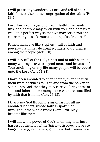I will praise thy wonders, O Lord, and tell of Your faithfulness also in the congregation of the saints (Ps. 89:5).

Lord, keep Your eyes upon Your faithful servants in this land, that we may dwell with You, and help us to walk in a perfect way so that we may serve You and cause many to seek Your anointing also (Ps. 101:6).

Father, make me like Stephen—full of faith and power—that I may do great wonders and miracles among the people (Acts 6:8).

I will stay full of the Holy Ghost and of faith so that many will say, "He was a good man," and because of Your anointing on my life many people will be added unto the Lord (Acts 11:24).

I have been anointed to open their eyes and to turn them from darkness to light, and from the power of Satan unto God, that they may receive forgiveness of sins and inheritance among those who are sanctified by faith that is in me (Acts 26:18).

I thank my God through Jesus Christ for all my anointed leaders, whose faith is spoken of throughout the whole world (Rom. 1:8). May I become like them.

I will allow the power of God's anointing to bring a harvest of the fruit of the Spirit—His love, joy, peace, longsuffering, gentleness, goodness, faith, meekness,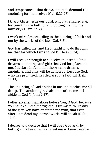and temperance—that draws others to demand His anointing for themselves (Gal. 5:22-23).

I thank Christ Jesus our Lord, who has enabled me, for counting me faithful and putting me into the ministry (1 Tim. 1:12).

I work miracles according to the hearing of faith and not by the works of the law (Gal. 3:5).

God has called me, and He is faithful to do through me that for which I was called (1 Thess. 5:24).

I will receive strength to conceive that seed of the dreams, anointing, and gifts that God has placed in me. I declare in faith that those same dreams, anointing, and gifts will be delivered, because God, who has promised, has declared me faithful (Heb. 11:11).

The anointing of God abides in me and teaches me all things. The anointing reveals the truth to me as I abide in God (1 John 2:27).

I offer excellent sacrifices before You, O God, because You have counted me righteous by my faith. Testify of the gifts You have anointed me with, that even after I am dead my eternal works will speak (Heb. 11:4).

I decree and declare that I will obey God and, by faith, go to where He has called me so I may receive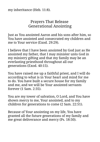my inheritance (Heb. 11:8).

#### Prayers That Release Generational Anointing

Just as You anointed Aaron and his sons after him, so You have anointed and consecrated my children and me to Your service (Exod. 29:29).

I believe that I have been anointed by God just as He anointed my father, that I may minister unto God in my ministry gifting and that my family may be an everlasting priesthood throughout all our generations (Exod. 40:15).

You have raised me up a faithful priest, and I will do according to what is in Your heart and mind for me to do. You have built a secure house for my family and me, and we will be Your anointed servants forever (1 Sam. 2:35).

You are my tower of salvation, O Lord, and You have shown mercy to me, Your anointed, and to my children for generations to come (2 Sam. 22:51).

Because of Your anointing on my life, You have granted all the future generations of my family and me great deliverance and mercy (Ps. 18:50).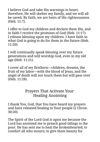I believe God and take His warnings to heart; therefore, He will shelter my family, and we will all be saved. By faith, we are heirs of His righteousness (Heb. 11:7).

I offer to God my children and declare them His, and in faith I receive the promises of God (Heb. 11:17). I release blessing upon my children. I have faith in what God is going to do for them in the future (Heb. 11:20).

I will continually speak blessing over my future generations and will worship God, even in my old age (Heb. 11:21).

I cover all of my firstborn—children, dreams, the fruit of my labor—with the blood of Jesus, and the angel of death will not touch them but will pass over (Heb. 11:28).

#### Prayers That Activate Your Healing Anointing

I thank You, God, that You have heard my prayers and have released healing to Your people (2 Chron. 30:20).

The Spirit of the Lord God is upon me because the Lord has anointed me to preach good tidings to the poor. He has sent me to heal the brokenhearted; to comfort all who mourn; to give them beauty for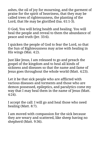ashes, the oil of joy for mourning, and the garment of praise for the spirit of heaviness, that they may be called trees of righteousness, the planting of the Lord, that He may be glorified (Isa. 61:1-3).

O God, You will bring health and healing. You will heal the people and reveal to them the abundance of peace and truth (Jer. 33:6).

I quicken the people of God to fear the Lord, so that the Sun of Righteousness may arise with healing in His wings (Mai. 4:2).

Just like Jesus, I am released to go and preach the gospel of the kingdom and to heal all kinds of sickness and diseases so that the name and fame of Jesus goes throughout the whole world (Matt. 4:23).

Let it be that sick people who are afflicted with various diseases and torments and those who are demon possessed, epileptics, and paralytics come my way that I may heal them in the name of Jesus (Matt. 4:24).

I accept the call: I will go and heal those who need healing (Matt. 8:7).

I am moved with compassion for the sick because they are weary and scattered, like sheep having no shepherd (Matt. 9:36).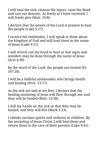I will heal the sick, cleanse the lepers, raise the dead, and cast out demons. As freely as I have received, I will freely give (Matt. 10:8).

I declare that the power of the Lord is present to heal His people (Luke 5:17).

I receive the multitudes. I will speak to them about the kingdom of God and will heal them in the name of Jesus (Luke 9:11).

I will stretch out my hand to heal so that signs and wonders may be done through the name of Jesus (Acts 4:30).

By the word of the Lord, the people are healed (Ps. 107:20).

I will be a faithful ambassador who brings health and healing (Prov. 13:17).

As the sick are laid at my feet, I declare that the healing anointing of Jesus will flow through me, and they will be healed (Matt. 15:30).

I will lay hands on the sick so that they may be healed, and they will live (Mark 5:23).

I rebuke unclean spirits and sickness in children. By the anointing of Jesus Christ, I will heal them and return them to the care of their parents (Luke 9:42).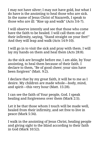I may not have silver; I may not have gold, but what I do have is the anointing to heal those who are sick. In the name of Jesus Christ of Nazareth, I speak to those who are ill: "Rise up and walk" (Acts 3:6-7).

I will observe intently and see that those who come have the faith to be healed. I will call them out of their infirmity, saying, "Stand straight on your feet!" And they will leap and walk (Acts 14:9-10).

I will go in to visit the sick and pray with them. I will lay my hands on them and heal them (Acts 28:8).

As the sick are brought before me, I am able, by Your anointing, to heal them because of their faith. I declare to them, "Be of good cheer; your sins have been forgiven" (Matt. 9:2).

I declare that by my great faith, it will be to me as I desire. My children are made whole—body, mind, and spirit—this very hour (Matt. 15:28).

I can see the faith of Your people, God. I speak healing and forgiveness over them (Mark 2:5).

Let it be that those whom I touch will be made well, healed from their infirmity, and set free to live in peace (Mark 5:34).

I walk in the anointing of Jesus Christ, healing people and giving sight to the blind according to their faith in God (Mark 10:52).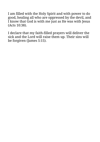I am filled with the Holy Spirit and with power to do good, healing all who are oppressed by the devil, and I know that God is with me just as He was with Jesus (Acts 10:38).

I declare that my faith-filled prayers will deliver the sick and the Lord will raise them up. Their sins will be forgiven (James 5:15).